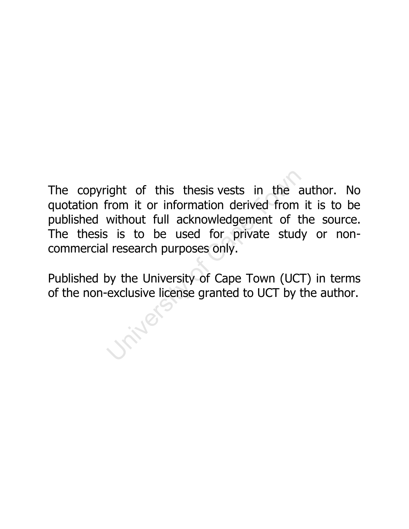New Trom it or information derived from<br>
Without full acknowledgement of t<br>
University of Cape Town (UCT)<br>
University of Cape Town (UCT)<br>
We University of Cape Town (UCT)<br>
University of Cape Town (UCT)<br>
UNIVERTY OF CAPE TO The copyright of this thesis vests in the author. No quotation from it or information derived from it is to be published without full acknowledgement of the source. The thesis is to be used for private study or noncommercial research purposes only.

Published by the University of Cape Town (UCT) in terms of the non-exclusive license granted to UCT by the author.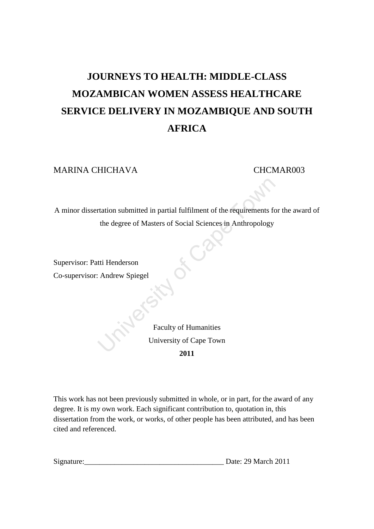# **JOURNEYS TO HEALTH: MIDDLE-CLASS MOZAMBICAN WOMEN ASSESS HEALTHCARE SERVICE DELIVERY IN MOZAMBIQUE AND SOUTH AFRICA**

MARINA CHICHAVA CHOMAROO3

A minor dissertation submitted in partial fulfilment of the requirements for the award of the degree of Masters of Social Sciences in Anthropology

OK Car

Supervisor: Patti Henderson Co-supervisor: Andrew Spiegel

> Faculty of Humanities University of Cape Town **2011**

This work has not been previously submitted in whole, or in part, for the award of any degree. It is my own work. Each significant contribution to, quotation in, this dissertation from the work, or works, of other people has been attributed, and has been cited and referenced.

Signature: Date: 29 March 2011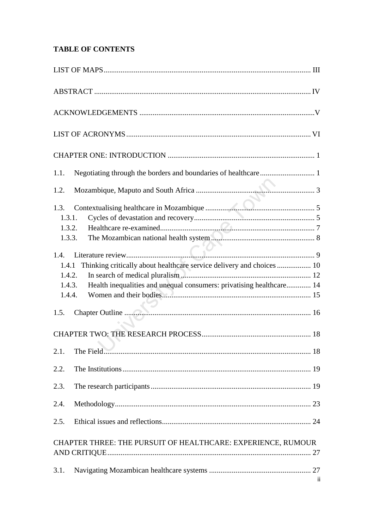# **TABLE OF CONTENTS**

| 1.1.                                                                           |
|--------------------------------------------------------------------------------|
| 1.2.                                                                           |
| 1.3.                                                                           |
| 1.3.1.                                                                         |
| 1.3.2.                                                                         |
| 1.3.3.                                                                         |
|                                                                                |
| 1.4.                                                                           |
| Thinking critically about healthcare service delivery and choices  10<br>1.4.1 |
| 1.4.2.                                                                         |
| Health inequalities and unequal consumers: privatising healthcare 14<br>1.4.3. |
| 1.4.4.                                                                         |
| 1.5.                                                                           |
|                                                                                |
| 2.1.                                                                           |
| 2.2.                                                                           |
| 2.3.                                                                           |
| 2.4.                                                                           |
| 2.5.                                                                           |
| CHAPTER THREE: THE PURSUIT OF HEALTHCARE: EXPERIENCE, RUMOUR                   |
|                                                                                |
| 3.1.<br>Ϊİ                                                                     |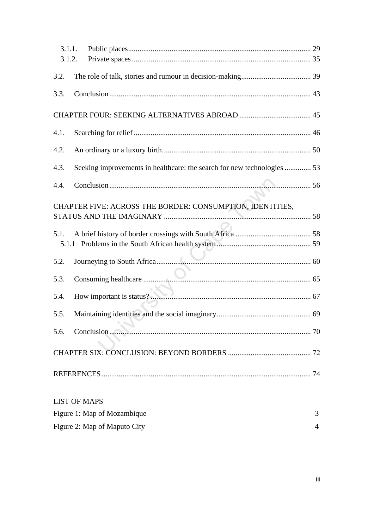<span id="page-3-0"></span>

| 3.1.1.<br>3.1.2.                                          |                                                                         |                         |  |  |  |  |
|-----------------------------------------------------------|-------------------------------------------------------------------------|-------------------------|--|--|--|--|
| 3.2.                                                      |                                                                         |                         |  |  |  |  |
| 3.3.                                                      |                                                                         |                         |  |  |  |  |
|                                                           |                                                                         |                         |  |  |  |  |
| 4.1.                                                      |                                                                         |                         |  |  |  |  |
| 4.2.                                                      |                                                                         |                         |  |  |  |  |
| 4.3.                                                      | Seeking improvements in healthcare: the search for new technologies  53 |                         |  |  |  |  |
| 4.4.                                                      |                                                                         |                         |  |  |  |  |
| CHAPTER FIVE: ACROSS THE BORDER: CONSUMPTION, IDENTITIES, |                                                                         |                         |  |  |  |  |
| 5.1.                                                      |                                                                         |                         |  |  |  |  |
| 5.2.                                                      |                                                                         |                         |  |  |  |  |
| 5.3.                                                      |                                                                         |                         |  |  |  |  |
| 5.4.                                                      |                                                                         |                         |  |  |  |  |
| 5.5.                                                      |                                                                         |                         |  |  |  |  |
| 5.6.                                                      |                                                                         | and the contract of the |  |  |  |  |
|                                                           |                                                                         |                         |  |  |  |  |
|                                                           |                                                                         |                         |  |  |  |  |
| <b>LIST OF MAPS</b>                                       |                                                                         |                         |  |  |  |  |
| Figure 1: Map of Mozambique<br>3                          |                                                                         |                         |  |  |  |  |
|                                                           | Figure 2: Map of Maputo City<br>4                                       |                         |  |  |  |  |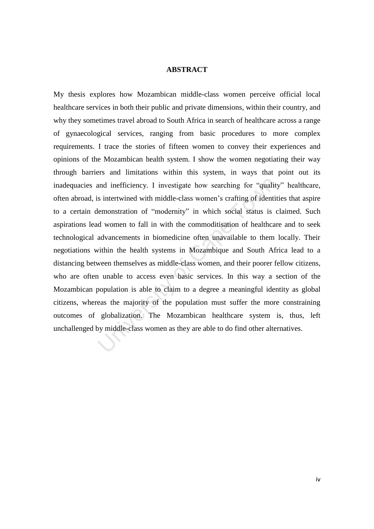#### **ABSTRACT**

<span id="page-4-0"></span>and inefficiency. I investigate how searching for "qualit<br>s intertwined with middle-class women's crafting of identi<br>lemonstration of "modernity" in which social status is<br>d women to fall in with the commoditisation of hea My thesis explores how Mozambican middle-class women perceive official local healthcare services in both their public and private dimensions, within their country, and why they sometimes travel abroad to South Africa in search of healthcare across a range of gynaecological services, ranging from basic procedures to more complex requirements. I trace the stories of fifteen women to convey their experiences and opinions of the Mozambican health system. I show the women negotiating their way through barriers and limitations within this system, in ways that point out its inadequacies and inefficiency. I investigate how searching for "quality" healthcare, often abroad, is intertwined with middle-class women"s crafting of identities that aspire to a certain demonstration of "modernity" in which social status is claimed. Such aspirations lead women to fall in with the commoditisation of healthcare and to seek technological advancements in biomedicine often unavailable to them locally. Their negotiations within the health systems in Mozambique and South Africa lead to a distancing between themselves as middle-class women, and their poorer fellow citizens, who are often unable to access even basic services. In this way a section of the Mozambican population is able to claim to a degree a meaningful identity as global citizens, whereas the majority of the population must suffer the more constraining outcomes of globalization. The Mozambican healthcare system is, thus, left unchallenged by middle-class women as they are able to do find other alternatives.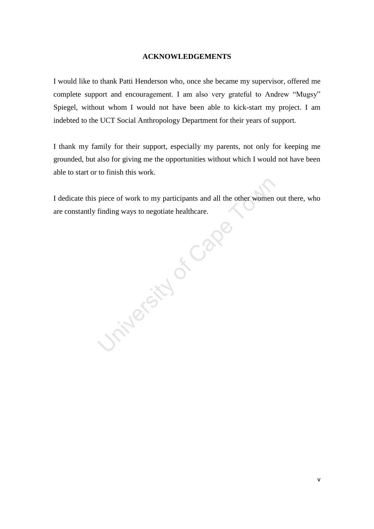#### **ACKNOWLEDGEMENTS**

<span id="page-5-0"></span>I would like to thank Patti Henderson who, once she became my supervisor, offered me complete support and encouragement. I am also very grateful to Andrew "Mugsy" Spiegel, without whom I would not have been able to kick-start my project. I am indebted to the UCT Social Anthropology Department for their years of support.

I thank my family for their support, especially my parents, not only for keeping me grounded, but also for giving me the opportunities without which I would not have been able to start or to finish this work.

I dedicate this piece of work to my participants and all the other women out there, who are constantly finding ways to negotiate healthcare.

**University of Cape**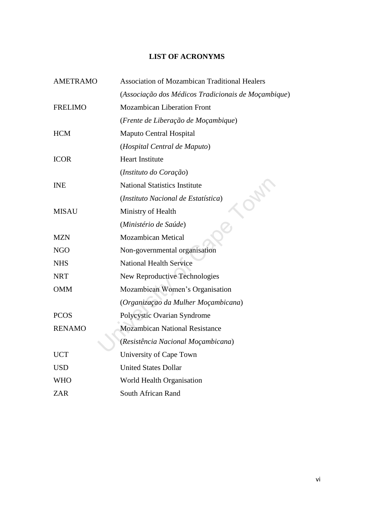# **LIST OF ACRONYMS**

<span id="page-6-0"></span>

| <b>AMETRAMO</b> | <b>Association of Mozambican Traditional Healers</b> |
|-----------------|------------------------------------------------------|
|                 | (Associação dos Médicos Tradicionais de Moçambique)  |
| <b>FRELIMO</b>  | <b>Mozambican Liberation Front</b>                   |
|                 | (Frente de Liberação de Moçambique)                  |
| <b>HCM</b>      | <b>Maputo Central Hospital</b>                       |
|                 | (Hospital Central de Maputo)                         |
| <b>ICOR</b>     | <b>Heart Institute</b>                               |
|                 | (Instituto do Coração)                               |
| <b>INE</b>      | <b>National Statistics Institute</b>                 |
|                 | (Instituto Nacional de Estatística)                  |
| <b>MISAU</b>    | Ministry of Health                                   |
|                 | (Ministério de Saúde)                                |
| <b>MZN</b>      | <b>Mozambican Metical</b>                            |
| <b>NGO</b>      | Non-governmental organisation                        |
| <b>NHS</b>      | <b>National Health Service</b>                       |
| <b>NRT</b>      | New Reproductive Technologies                        |
| <b>OMM</b>      | Mozambican Women's Organisation                      |
|                 | (Organização da Mulher Moçambicana)                  |
| <b>PCOS</b>     | Polycystic Ovarian Syndrome                          |
| <b>RENAMO</b>   | <b>Mozambican National Resistance</b>                |
|                 | (Resistência Nacional Moçambicana)                   |
| <b>UCT</b>      | University of Cape Town                              |
| <b>USD</b>      | <b>United States Dollar</b>                          |
| <b>WHO</b>      | World Health Organisation                            |
| <b>ZAR</b>      | South African Rand                                   |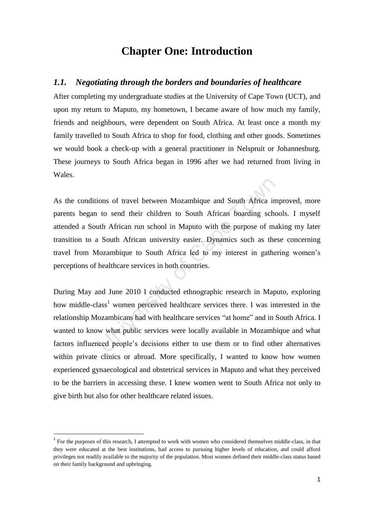# **Chapter One: Introduction**

# <span id="page-7-1"></span><span id="page-7-0"></span>*1.1. Negotiating through the borders and boundaries of healthcare*

After completing my undergraduate studies at the University of Cape Town (UCT), and upon my return to Maputo, my hometown, I became aware of how much my family, friends and neighbours, were dependent on South Africa. At least once a month my family travelled to South Africa to shop for food, clothing and other goods. Sometimes we would book a check-up with a general practitioner in Nelspruit or Johannesburg. These journeys to South Africa began in 1996 after we had returned from living in Wales.

ions of travel between Mozambique and South Africa in<br>to send their children to South African boarding sche<br>th African run school in Maputo with the purpose of ma<br>lozambique to South Africa led to my interest in gathe<br>heal As the conditions of travel between Mozambique and South Africa improved, more parents began to send their children to South African boarding schools. I myself attended a South African run school in Maputo with the purpose of making my later transition to a South African university easier. Dynamics such as these concerning travel from Mozambique to South Africa led to my interest in gathering women"s perceptions of healthcare services in both countries.

During May and June 2010 I conducted ethnographic research in Maputo, exploring how middle-class<sup>1</sup> women perceived healthcare services there. I was interested in the relationship Mozambicans had with healthcare services "at home" and in South Africa. I wanted to know what public services were locally available in Mozambique and what factors influenced people"s decisions either to use them or to find other alternatives within private clinics or abroad. More specifically, I wanted to know how women experienced gynaecological and obstetrical services in Maputo and what they perceived to be the barriers in accessing these. I knew women went to South Africa not only to give birth but also for other healthcare related issues.

 $\overline{a}$ 

<sup>&</sup>lt;sup>1</sup> For the purposes of this research, I attempted to work with women who considered themselves middle-class, in that they were educated at the best institutions, had access to pursuing higher levels of education, and could afford privileges not readily available to the majority of the population. Most women defined their middle-class status based on their family background and upbringing.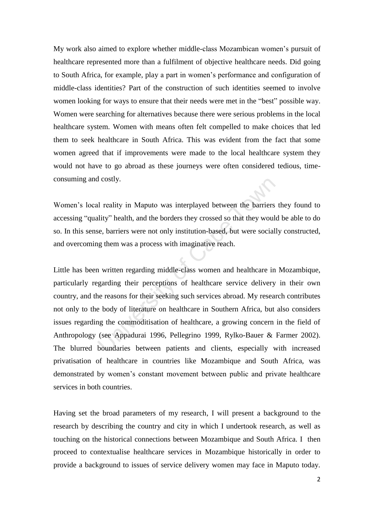My work also aimed to explore whether middle-class Mozambican women"s pursuit of healthcare represented more than a fulfilment of objective healthcare needs. Did going to South Africa, for example, play a part in women"s performance and configuration of middle-class identities? Part of the construction of such identities seemed to involve women looking for ways to ensure that their needs were met in the "best" possible way. Women were searching for alternatives because there were serious problems in the local healthcare system. Women with means often felt compelled to make choices that led them to seek healthcare in South Africa. This was evident from the fact that some women agreed that if improvements were made to the local healthcare system they would not have to go abroad as these journeys were often considered tedious, timeconsuming and costly.

Women"s local reality in Maputo was interplayed between the barriers they found to accessing "quality" health, and the borders they crossed so that they would be able to do so. In this sense, barriers were not only institution-based, but were socially constructed, and overcoming them was a process with imaginative reach.

I costly.<br>
Il reality in Maputo was interplayed between the barriers<br>
lity" health, and the borders they crossed so that they would<br>
bee, barriers were not only institution-based, but were social<br>
I genem was a process wit Little has been written regarding middle-class women and healthcare in Mozambique, particularly regarding their perceptions of healthcare service delivery in their own country, and the reasons for their seeking such services abroad. My research contributes not only to the body of literature on healthcare in Southern Africa, but also considers issues regarding the commoditisation of healthcare, a growing concern in the field of Anthropology (see Appadurai 1996, Pellegrino 1999, Rylko-Bauer & Farmer 2002). The blurred boundaries between patients and clients, especially with increased privatisation of healthcare in countries like Mozambique and South Africa, was demonstrated by women"s constant movement between public and private healthcare services in both countries.

Having set the broad parameters of my research, I will present a background to the research by describing the country and city in which I undertook research, as well as touching on the historical connections between Mozambique and South Africa. I then proceed to contextualise healthcare services in Mozambique historically in order to provide a background to issues of service delivery women may face in Maputo today.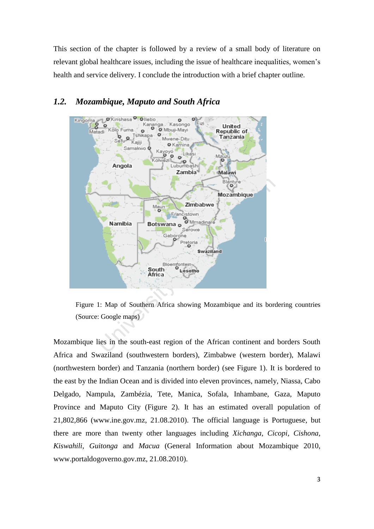This section of the chapter is followed by a review of a small body of literature on relevant global healthcare issues, including the issue of healthcare inequalities, women"s health and service delivery. I conclude the introduction with a brief chapter outline.



# <span id="page-9-0"></span>*1.2. Mozambique, Maputo and South Africa*

Figure 1: Map of Southern Africa showing Mozambique and its bordering countries (Source: Google maps)

Mozambique lies in the south-east region of the African continent and borders South Africa and Swaziland (southwestern borders), Zimbabwe (western border), Malawi (northwestern border) and Tanzania (northern border) (see Figure 1). It is bordered to the east by the Indian Ocean and is divided into eleven provinces, namely, Niassa, Cabo Delgado, Nampula, Zambézia, Tete, Manica, Sofala, Inhambane, Gaza, Maputo Province and Maputo City (Figure 2). It has an estimated overall population of 21,802,866 (www.ine.gov.mz, 21.08.2010). The official language is Portuguese, but there are more than twenty other languages including *Xichanga, Cicopi, Cishona, Kiswahili, Guitonga* and *Macua* (General Information about Mozambique 2010, www.portaldogoverno.gov.mz, 21.08.2010).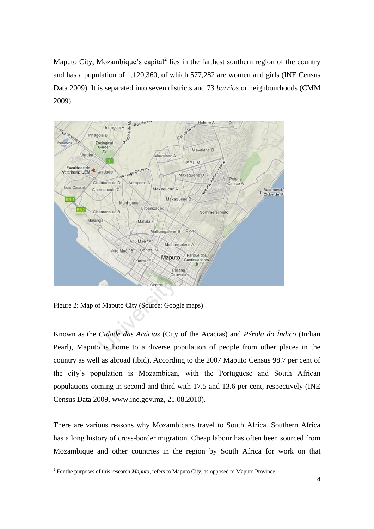Maputo City, Mozambique's capital<sup>2</sup> lies in the farthest southern region of the country and has a population of 1,120,360, of which 577,282 are women and girls (INE Census Data 2009). It is separated into seven districts and 73 *barrios* or neighbourhoods (CMM 2009).



Figure 2: Map of Maputo City (Source: Google maps)

Known as the *Cidade das Acácias* (City of the Acacias) and *Pérola do Índico* (Indian Pearl), Maputo is home to a diverse population of people from other places in the country as well as abroad (ibid). According to the 2007 Maputo Census 98.7 per cent of the city"s population is Mozambican, with the Portuguese and South African populations coming in second and third with 17.5 and 13.6 per cent, respectively (INE Census Data 2009, www.ine.gov.mz, 21.08.2010).

There are various reasons why Mozambicans travel to South Africa. Southern Africa has a long history of cross-border migration. Cheap labour has often been sourced from Mozambique and other countries in the region by South Africa for work on that

 2 For the purposes of this research *Maputo*, refers to Maputo City, as opposed to Maputo Province.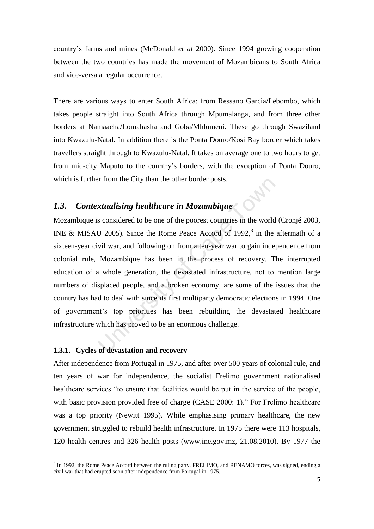country"s farms and mines (McDonald *et al* 2000). Since 1994 growing cooperation between the two countries has made the movement of Mozambicans to South Africa and vice-versa a regular occurrence.

There are various ways to enter South Africa: from Ressano Garcia/Lebombo, which takes people straight into South Africa through Mpumalanga, and from three other borders at Namaacha/Lomahasha and Goba/Mhlumeni. These go through Swaziland into Kwazulu-Natal. In addition there is the Ponta Douro/Kosi Bay border which takes travellers straight through to Kwazulu-Natal. It takes on average one to two hours to get from mid-city Maputo to the country"s borders, with the exception of Ponta Douro, which is further from the City than the other border posts.

# <span id="page-11-0"></span>*1.3. Contextualising healthcare in Mozambique*

Example 11 and the other border posts.<br> **Extractising healthcare in Mozambique**<br>
Socience to be one of the poorest countries in the world<br>
U 2005). Since the Rome Peace Accord of 1992,<sup>3</sup> in the<br>
vil war, and following on Mozambique is considered to be one of the poorest countries in the world (Cronjé 2003, INE & MISAU 2005). Since the Rome Peace Accord of 1992,<sup>3</sup> in the aftermath of a sixteen-year civil war, and following on from a ten-year war to gain independence from colonial rule, Mozambique has been in the process of recovery. The interrupted education of a whole generation, the devastated infrastructure, not to mention large numbers of displaced people, and a broken economy, are some of the issues that the country has had to deal with since its first multiparty democratic elections in 1994. One of government"s top priorities has been rebuilding the devastated healthcare infrastructure which has proved to be an enormous challenge.

#### <span id="page-11-1"></span>**1.3.1. Cycles of devastation and recovery**

After independence from Portugal in 1975, and after over 500 years of colonial rule, and ten years of war for independence, the socialist Frelimo government nationalised healthcare services "to ensure that facilities would be put in the service of the people, with basic provision provided free of charge (CASE 2000: 1)." For Frelimo healthcare was a top priority (Newitt 1995). While emphasising primary healthcare, the new government struggled to rebuild health infrastructure. In 1975 there were 113 hospitals, 120 health centres and 326 health posts (www.ine.gov.mz, 21.08.2010). By 1977 the

<sup>&</sup>lt;sup>3</sup> In 1992, the Rome Peace Accord between the ruling party, FRELIMO, and RENAMO forces, was signed, ending a civil war that had erupted soon after independence from Portugal in 1975.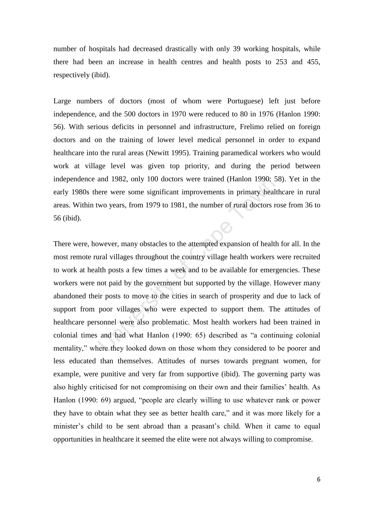number of hospitals had decreased drastically with only 39 working hospitals, while there had been an increase in health centres and health posts to 253 and 455, respectively (ibid).

Large numbers of doctors (most of whom were Portuguese) left just before independence, and the 500 doctors in 1970 were reduced to 80 in 1976 (Hanlon 1990: 56). With serious deficits in personnel and infrastructure, Frelimo relied on foreign doctors and on the training of lower level medical personnel in order to expand healthcare into the rural areas (Newitt 1995). Training paramedical workers who would work at village level was given top priority, and during the period between independence and 1982, only 100 doctors were trained (Hanlon 1990: 58). Yet in the early 1980s there were some significant improvements in primary healthcare in rural areas. Within two years, from 1979 to 1981, the number of rural doctors rose from 36 to 56 (ibid).

and 1982, only 100 doctors were trained (Hanlon 1990; 5<br>ere were some significant improvements in primary heal<br>wo years, from 1979 to 1981, the number of rural doctors r<br>wever, many obstacles to the attempted expansion of There were, however, many obstacles to the attempted expansion of health for all. In the most remote rural villages throughout the country village health workers were recruited to work at health posts a few times a week and to be available for emergencies. These workers were not paid by the government but supported by the village. However many abandoned their posts to move to the cities in search of prosperity and due to lack of support from poor villages who were expected to support them. The attitudes of healthcare personnel were also problematic. Most health workers had been trained in colonial times and had what Hanlon (1990: 65) described as "a continuing colonial mentality," where they looked down on those whom they considered to be poorer and less educated than themselves. Attitudes of nurses towards pregnant women, for example, were punitive and very far from supportive (ibid). The governing party was also highly criticised for not compromising on their own and their families' health. As Hanlon (1990: 69) argued, "people are clearly willing to use whatever rank or power they have to obtain what they see as better health care," and it was more likely for a minister's child to be sent abroad than a peasant's child. When it came to equal opportunities in healthcare it seemed the elite were not always willing to compromise.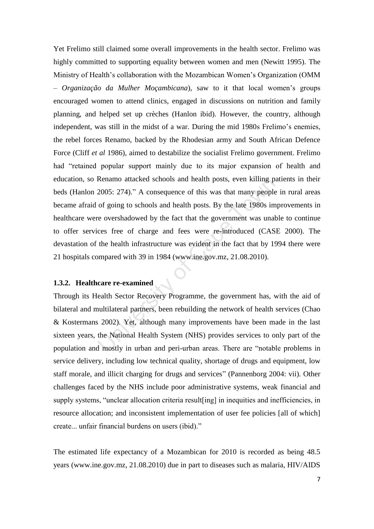Renamo attacked schools and health posts, even killing pa<br>2005: 274)." A consequence of this was that many people<br>of going to schools and health posts. By the late 1980s im<br>e overshadowed by the fact that the government wa Yet Frelimo still claimed some overall improvements in the health sector. Frelimo was highly committed to supporting equality between women and men (Newitt 1995). The Ministry of Health"s collaboration with the Mozambican Women"s Organization (OMM – *Organização da Mulher Moçambicana*), saw to it that local women"s groups encouraged women to attend clinics, engaged in discussions on nutrition and family planning, and helped set up crèches (Hanlon ibid). However, the country, although independent, was still in the midst of a war. During the mid 1980s Frelimo"s enemies, the rebel forces Renamo, backed by the Rhodesian army and South African Defence Force (Cliff *et al* 1986), aimed to destabilize the socialist Frelimo government. Frelimo had "retained popular support mainly due to its major expansion of health and education, so Renamo attacked schools and health posts, even killing patients in their beds (Hanlon 2005: 274)." A consequence of this was that many people in rural areas became afraid of going to schools and health posts. By the late 1980s improvements in healthcare were overshadowed by the fact that the government was unable to continue to offer services free of charge and fees were re-introduced (CASE 2000). The devastation of the health infrastructure was evident in the fact that by 1994 there were 21 hospitals compared with 39 in 1984 (www.ine.gov.mz, 21.08.2010).

#### <span id="page-13-0"></span>**1.3.2. Healthcare re-examined**

Through its Health Sector Recovery Programme, the government has, with the aid of bilateral and multilateral partners, been rebuilding the network of health services (Chao & Kostermans 2002). Yet, although many improvements have been made in the last sixteen years, the National Health System (NHS) provides services to only part of the population and mostly in urban and peri-urban areas. There are "notable problems in service delivery, including low technical quality, shortage of drugs and equipment, low staff morale, and illicit charging for drugs and services" (Pannenborg 2004: vii). Other challenges faced by the NHS include poor administrative systems, weak financial and supply systems, "unclear allocation criteria result[ing] in inequities and inefficiencies, in resource allocation; and inconsistent implementation of user fee policies [all of which] create... unfair financial burdens on users (ibid)."

The estimated life expectancy of a Mozambican for 2010 is recorded as being 48.5 years (www.ine.gov.mz, 21.08.2010) due in part to diseases such as malaria, HIV/AIDS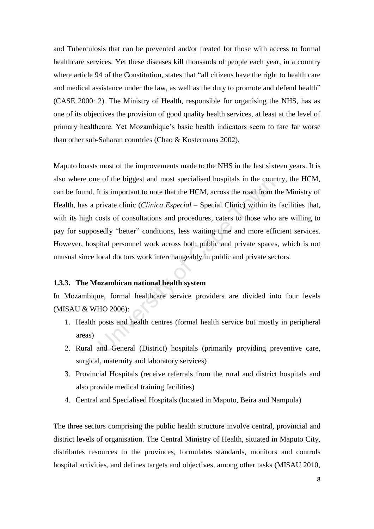and Tuberculosis that can be prevented and/or treated for those with access to formal healthcare services. Yet these diseases kill thousands of people each year, in a country where article 94 of the Constitution, states that "all citizens have the right to health care and medical assistance under the law, as well as the duty to promote and defend health" (CASE 2000: 2). The Ministry of Health, responsible for organising the NHS, has as one of its objectives the provision of good quality health services, at least at the level of primary healthcare. Yet Mozambique's basic health indicators seem to fare far worse than other sub-Saharan countries (Chao & Kostermans 2002).

Equivalent Intertual most specialised hospitals in the count<br>It is important to note that the HCM, across the road from the private clinic (*Clinica Especial* – Special Clinic) within its<br>costs of consultations and procedu Maputo boasts most of the improvements made to the NHS in the last sixteen years. It is also where one of the biggest and most specialised hospitals in the country, the HCM, can be found. It is important to note that the HCM, across the road from the Ministry of Health, has a private clinic (*Clinica Especial* – Special Clinic) within its facilities that, with its high costs of consultations and procedures, caters to those who are willing to pay for supposedly "better" conditions, less waiting time and more efficient services. However, hospital personnel work across both public and private spaces, which is not unusual since local doctors work interchangeably in public and private sectors.

#### <span id="page-14-0"></span>**1.3.3. The Mozambican national health system**

In Mozambique, formal healthcare service providers are divided into four levels (MISAU & WHO 2006):

- 1. Health posts and health centres (formal health service but mostly in peripheral areas)
- 2. Rural and General (District) hospitals (primarily providing preventive care, surgical, maternity and laboratory services)
- 3. Provincial Hospitals (receive referrals from the rural and district hospitals and also provide medical training facilities)
- 4. Central and Specialised Hospitals (located in Maputo, Beira and Nampula)

The three sectors comprising the public health structure involve central, provincial and district levels of organisation. The Central Ministry of Health, situated in Maputo City, distributes resources to the provinces, formulates standards, monitors and controls hospital activities, and defines targets and objectives, among other tasks (MISAU 2010,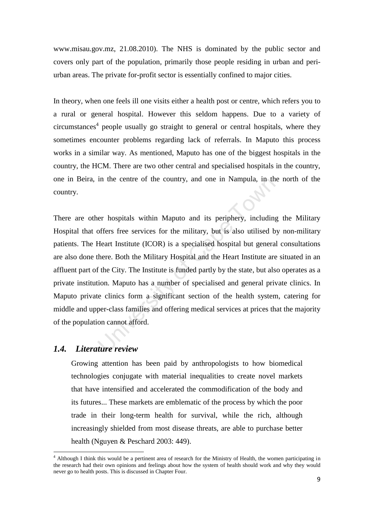www.misau.gov.mz, 21.08.2010). The NHS is dominated by the public sector and covers only part of the population, primarily those people residing in urban and periurban areas. The private for-profit sector is essentially confined to major cities.

In theory, when one feels ill one visits either a health post or centre, which refers you to a rural or general hospital. However this seldom happens. Due to a variety of circumstances<sup>4</sup> people usually go straight to general or central hospitals, where they sometimes encounter problems regarding lack of referrals. In Maputo this process works in a similar way. As mentioned, Maputo has one of the biggest hospitals in the country, the HCM. There are two other central and specialised hospitals in the country, one in Beira, in the centre of the country, and one in Nampula, in the north of the country.

in the centre of the country, and one in Nampula, in the entre of the country, and one in Nampula, in the erroriginal solution of the military, but is also utilised b Heart Institute (ICOR) is a specialised hospital but ge There are other hospitals within Maputo and its periphery, including the Military Hospital that offers free services for the military, but is also utilised by non-military patients. The Heart Institute (ICOR) is a specialised hospital but general consultations are also done there. Both the Military Hospital and the Heart Institute are situated in an affluent part of the City. The Institute is funded partly by the state, but also operates as a private institution. Maputo has a number of specialised and general private clinics. In Maputo private clinics form a significant section of the health system, catering for middle and upper-class families and offering medical services at prices that the majority of the population cannot afford.

## <span id="page-15-0"></span>*1.4. Literature review*

1

Growing attention has been paid by anthropologists to how biomedical technologies conjugate with material inequalities to create novel markets that have intensified and accelerated the commodification of the body and its futures... These markets are emblematic of the process by which the poor trade in their long-term health for survival, while the rich, although increasingly shielded from most disease threats, are able to purchase better health (Nguyen & Peschard 2003: 449).

<sup>4</sup> Although I think this would be a pertinent area of research for the Ministry of Health, the women participating in the research had their own opinions and feelings about how the system of health should work and why they would never go to health posts. This is discussed in Chapter Four.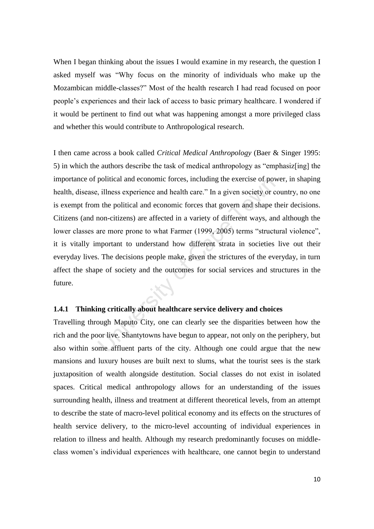When I began thinking about the issues I would examine in my research, the question I asked myself was "Why focus on the minority of individuals who make up the Mozambican middle-classes?" Most of the health research I had read focused on poor people"s experiences and their lack of access to basic primary healthcare. I wondered if it would be pertinent to find out what was happening amongst a more privileged class and whether this would contribute to Anthropological research.

political and economic forces, including the exercise of pov<br>in the political and economic forces that govern and shape to<br>non-citizens) are affected in a variety of different ways, an<br>are more prone to what Farmer (1999, I then came across a book called *Critical Medical Anthropology* (Baer & Singer 1995: 5) in which the authors describe the task of medical anthropology as "emphasiz[ing] the importance of political and economic forces, including the exercise of power, in shaping health, disease, illness experience and health care." In a given society or country, no one is exempt from the political and economic forces that govern and shape their decisions. Citizens (and non-citizens) are affected in a variety of different ways, and although the lower classes are more prone to what Farmer (1999, 2005) terms "structural violence", it is vitally important to understand how different strata in societies live out their everyday lives. The decisions people make, given the strictures of the everyday, in turn affect the shape of society and the outcomes for social services and structures in the future.

## <span id="page-16-0"></span>**1.4.1 Thinking critically about healthcare service delivery and choices**

Travelling through Maputo City, one can clearly see the disparities between how the rich and the poor live. Shantytowns have begun to appear, not only on the periphery, but also within some affluent parts of the city. Although one could argue that the new mansions and luxury houses are built next to slums, what the tourist sees is the stark juxtaposition of wealth alongside destitution. Social classes do not exist in isolated spaces. Critical medical anthropology allows for an understanding of the issues surrounding health, illness and treatment at different theoretical levels, from an attempt to describe the state of macro-level political economy and its effects on the structures of health service delivery, to the micro-level accounting of individual experiences in relation to illness and health. Although my research predominantly focuses on middleclass women"s individual experiences with healthcare, one cannot begin to understand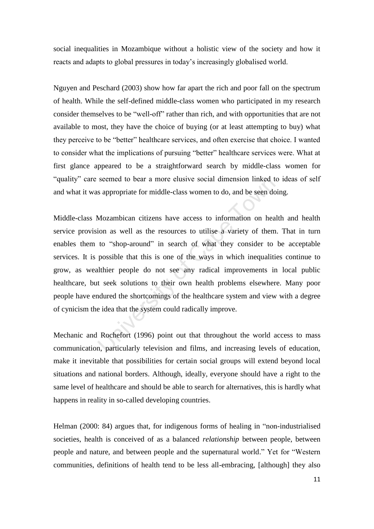social inequalities in Mozambique without a holistic view of the society and how it reacts and adapts to global pressures in today"s increasingly globalised world.

Nguyen and Peschard (2003) show how far apart the rich and poor fall on the spectrum of health. While the self-defined middle-class women who participated in my research consider themselves to be "well-off" rather than rich, and with opportunities that are not available to most, they have the choice of buying (or at least attempting to buy) what they perceive to be "better" healthcare services, and often exercise that choice. I wanted to consider what the implications of pursuing "better" healthcare services were. What at first glance appeared to be a straightforward search by middle-class women for "quality" care seemed to bear a more elusive social dimension linked to ideas of self and what it was appropriate for middle-class women to do, and be seen doing.

seemed to bear a more elusive social dimension linked to<br>s appropriate for middle-class women to do, and be seen do<br>Mozambican citizens have access to information on hea<br>ion as well as the resources to utilise a variety of Middle-class Mozambican citizens have access to information on health and health service provision as well as the resources to utilise a variety of them. That in turn enables them to "shop-around" in search of what they consider to be acceptable services. It is possible that this is one of the ways in which inequalities continue to grow, as wealthier people do not see any radical improvements in local public healthcare, but seek solutions to their own health problems elsewhere. Many poor people have endured the shortcomings of the healthcare system and view with a degree of cynicism the idea that the system could radically improve.

Mechanic and Rochefort (1996) point out that throughout the world access to mass communication, particularly television and films, and increasing levels of education, make it inevitable that possibilities for certain social groups will extend beyond local situations and national borders. Although, ideally, everyone should have a right to the same level of healthcare and should be able to search for alternatives, this is hardly what happens in reality in so-called developing countries.

Helman (2000: 84) argues that, for indigenous forms of healing in "non-industrialised societies, health is conceived of as a balanced *relationship* between people, between people and nature, and between people and the supernatural world." Yet for "Western communities, definitions of health tend to be less all-embracing, [although] they also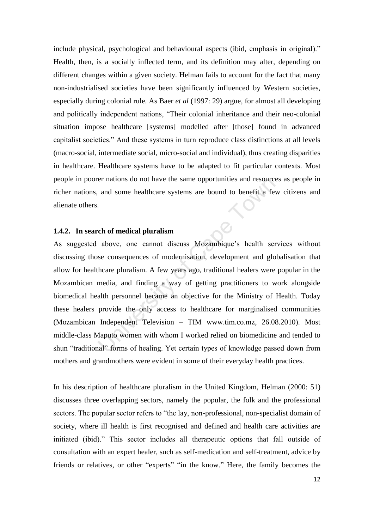include physical, psychological and behavioural aspects (ibid, emphasis in original)." Health, then, is a socially inflected term, and its definition may alter, depending on different changes within a given society. Helman fails to account for the fact that many non-industrialised societies have been significantly influenced by Western societies, especially during colonial rule. As Baer *et al* (1997: 29) argue, for almost all developing and politically independent nations, "Their colonial inheritance and their neo-colonial situation impose healthcare [systems] modelled after [those] found in advanced capitalist societies." And these systems in turn reproduce class distinctions at all levels (macro-social, intermediate social, micro-social and individual), thus creating disparities in healthcare. Healthcare systems have to be adapted to fit particular contexts. Most people in poorer nations do not have the same opportunities and resources as people in richer nations, and some healthcare systems are bound to benefit a few citizens and alienate others.

#### <span id="page-18-0"></span>**1.4.2. In search of medical pluralism**

er nations do not have the same opportunities and resource<br>and some healthcare systems are bound to benefit a fev<br>
.<br> **Cho of medical pluralism**<br>
above, one cannot discuss Mozambique's health ser<br>
se consequences of modern As suggested above, one cannot discuss Mozambique's health services without discussing those consequences of modernisation, development and globalisation that allow for healthcare pluralism. A few years ago, traditional healers were popular in the Mozambican media, and finding a way of getting practitioners to work alongside biomedical health personnel became an objective for the Ministry of Health. Today these healers provide the only access to healthcare for marginalised communities (Mozambican Independent Television – TIM www.tim.co.mz, 26.08.2010). Most middle-class Maputo women with whom I worked relied on biomedicine and tended to shun "traditional" forms of healing. Yet certain types of knowledge passed down from mothers and grandmothers were evident in some of their everyday health practices.

In his description of healthcare pluralism in the United Kingdom, Helman (2000: 51) discusses three overlapping sectors, namely the popular, the folk and the professional sectors. The popular sector refers to "the lay, non-professional, non-specialist domain of society, where ill health is first recognised and defined and health care activities are initiated (ibid)." This sector includes all therapeutic options that fall outside of consultation with an expert healer, such as self-medication and self-treatment, advice by friends or relatives, or other "experts" "in the know." Here, the family becomes the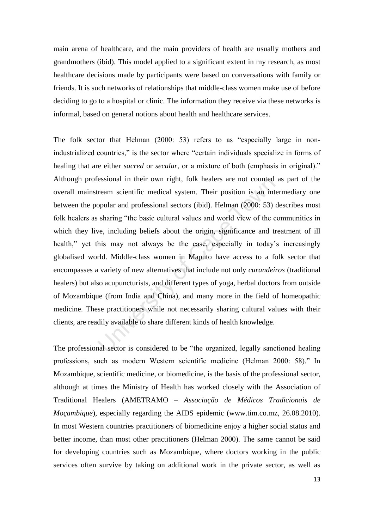main arena of healthcare, and the main providers of health are usually mothers and grandmothers (ibid). This model applied to a significant extent in my research, as most healthcare decisions made by participants were based on conversations with family or friends. It is such networks of relationships that middle-class women make use of before deciding to go to a hospital or clinic. The information they receive via these networks is informal, based on general notions about health and healthcare services.

essional in their own right, folk healers are not counted<br>ream scientific medical system. Their position is an into<br>opular and professional sectors (ibid). Helman (2000: 53)<br>sharing "the basic cultural values and world vie The folk sector that Helman (2000: 53) refers to as "especially large in nonindustrialized countries," is the sector where "certain individuals specialize in forms of healing that are either *sacred* or *secular*, or a mixture of both (emphasis in original)." Although professional in their own right, folk healers are not counted as part of the overall mainstream scientific medical system. Their position is an intermediary one between the popular and professional sectors (ibid). Helman (2000: 53) describes most folk healers as sharing "the basic cultural values and world view of the communities in which they live, including beliefs about the origin, significance and treatment of ill health," yet this may not always be the case, especially in today's increasingly globalised world. Middle-class women in Maputo have access to a folk sector that encompasses a variety of new alternatives that include not only *curandeiros* (traditional healers) but also acupuncturists, and different types of yoga, herbal doctors from outside of Mozambique (from India and China), and many more in the field of homeopathic medicine. These practitioners while not necessarily sharing cultural values with their clients, are readily available to share different kinds of health knowledge.

The professional sector is considered to be "the organized, legally sanctioned healing professions, such as modern Western scientific medicine (Helman 2000: 58)." In Mozambique, scientific medicine, or biomedicine, is the basis of the professional sector, although at times the Ministry of Health has worked closely with the Association of Traditional Healers (AMETRAMO – *Associação de Médicos Tradicionais de Moçambique*), especially regarding the AIDS epidemic (www.tim.co.mz, 26.08.2010). In most Western countries practitioners of biomedicine enjoy a higher social status and better income, than most other practitioners (Helman 2000). The same cannot be said for developing countries such as Mozambique, where doctors working in the public services often survive by taking on additional work in the private sector, as well as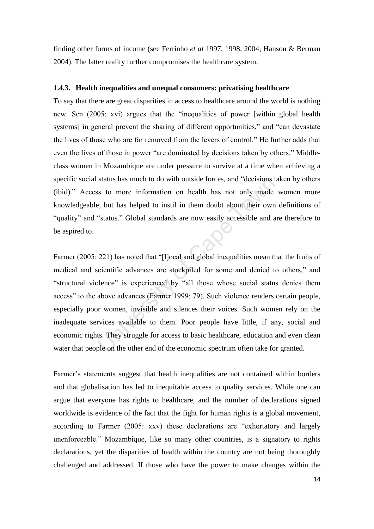finding other forms of income (see Ferrinho *et al* 1997, 1998, 2004; Hanson & Berman 2004). The latter reality further compromises the healthcare system.

#### <span id="page-20-0"></span>**1.4.3. Health inequalities and unequal consumers: privatising healthcare**

To say that there are great disparities in access to healthcare around the world is nothing new. Sen (2005: xvi) argues that the "inequalities of power [within global health systems] in general prevent the sharing of different opportunities," and "can devastate the lives of those who are far removed from the levers of control." He further adds that even the lives of those in power "are dominated by decisions taken by others." Middleclass women in Mozambique are under pressure to survive at a time when achieving a specific social status has much to do with outside forces, and "decisions taken by others (ibid)." Access to more information on health has not only made women more knowledgeable, but has helped to instil in them doubt about their own definitions of "quality" and "status." Global standards are now easily accessible and are therefore to be aspired to.

status has much to do with outside forces, and "decisions t<br>s to more information on health has not only made<br>e, but has helped to instil in them doubt about their own<br>"status." Global standards are now easily accessible a Farmer (2005: 221) has noted that "[l]ocal and global inequalities mean that the fruits of medical and scientific advances are stockpiled for some and denied to others," and "structural violence" is experienced by "all those whose social status denies them access" to the above advances (Farmer 1999: 79). Such violence renders certain people, especially poor women, invisible and silences their voices. Such women rely on the inadequate services available to them. Poor people have little, if any, social and economic rights. They struggle for access to basic healthcare, education and even clean water that people on the other end of the economic spectrum often take for granted.

Farmer's statements suggest that health inequalities are not contained within borders and that globalisation has led to inequitable access to quality services. While one can argue that everyone has rights to healthcare, and the number of declarations signed worldwide is evidence of the fact that the fight for human rights is a global movement, according to Farmer (2005: xxv) these declarations are "exhortatory and largely unenforceable." Mozambique, like so many other countries, is a signatory to rights declarations, yet the disparities of health within the country are not being thoroughly challenged and addressed. If those who have the power to make changes within the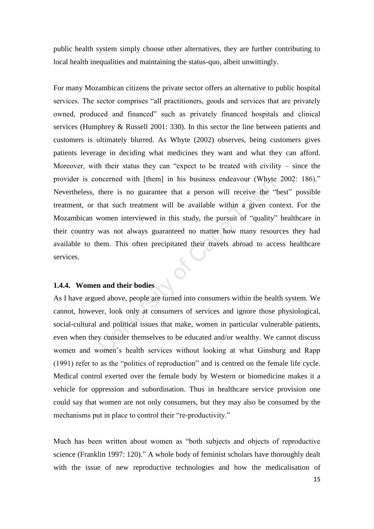public health system simply choose other alternatives, they are further contributing to local health inequalities and maintaining the status-quo, albeit unwittingly.

incerned with [them] in his business endeavour (Whyte<br>there is no guarantee that a person will receive the "<br>that such treatment will be available within a given co<br>women interviewed in this study, the pursuit of "quality" For many Mozambican citizens the private sector offers an alternative to public hospital services. The sector comprises "all practitioners, goods and services that are privately owned, produced and financed" such as privately financed hospitals and clinical services (Humphrey & Russell 2001: 330). In this sector the line between patients and customers is ultimately blurred. As Whyte (2002) observes, being customers gives patients leverage in deciding what medicines they want and what they can afford. Moreover, with their status they can "expect to be treated with civility – since the provider is concerned with [them] in his business endeavour (Whyte 2002: 186)." Nevertheless, there is no guarantee that a person will receive the "best" possible treatment, or that such treatment will be available within a given context. For the Mozambican women interviewed in this study, the pursuit of "quality" healthcare in their country was not always guaranteed no matter how many resources they had available to them. This often precipitated their travels abroad to access healthcare services.

### <span id="page-21-0"></span>**1.4.4. Women and their bodies**

As I have argued above, people are turned into consumers within the health system. We cannot, however, look only at consumers of services and ignore those physiological, social-cultural and political issues that make, women in particular vulnerable patients, even when they consider themselves to be educated and/or wealthy. We cannot discuss women and women"s health services without looking at what Ginsburg and Rapp (1991) refer to as the "politics of reproduction" and is centred on the female life cycle. Medical control exerted over the female body by Western or biomedicine makes it a vehicle for oppression and subordination. Thus in healthcare service provision one could say that women are not only consumers, but they may also be consumed by the mechanisms put in place to control their "re-productivity."

Much has been written about women as "both subjects and objects of reproductive science (Franklin 1997: 120)." A whole body of feminist scholars have thoroughly dealt with the issue of new reproductive technologies and how the medicalisation of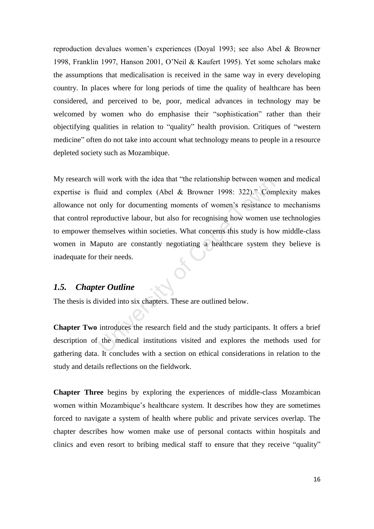reproduction devalues women"s experiences (Doyal 1993; see also Abel & Browner 1998, Franklin 1997, Hanson 2001, O"Neil & Kaufert 1995). Yet some scholars make the assumptions that medicalisation is received in the same way in every developing country. In places where for long periods of time the quality of healthcare has been considered, and perceived to be, poor, medical advances in technology may be welcomed by women who do emphasise their "sophistication" rather than their objectifying qualities in relation to "quality" health provision. Critiques of "western medicine" often do not take into account what technology means to people in a resource depleted society such as Mozambique.

VII work with the idea that "the relationship between wome<br>
uid and complex (Abel & Browner 1998: 322)." Com<br>
only for documenting moments of women's resistance t<br>
productive labour, but also for recognising how women us<br> My research will work with the idea that "the relationship between women and medical expertise is fluid and complex (Abel & Browner 1998: 322)." Complexity makes allowance not only for documenting moments of women"s resistance to mechanisms that control reproductive labour, but also for recognising how women use technologies to empower themselves within societies. What concerns this study is how middle-class women in Maputo are constantly negotiating a healthcare system they believe is inadequate for their needs.

# <span id="page-22-0"></span>*1.5. Chapter Outline*

The thesis is divided into six chapters. These are outlined below.

**Chapter Two** introduces the research field and the study participants. It offers a brief description of the medical institutions visited and explores the methods used for gathering data. It concludes with a section on ethical considerations in relation to the study and details reflections on the fieldwork.

**Chapter Three** begins by exploring the experiences of middle-class Mozambican women within Mozambique's healthcare system. It describes how they are sometimes forced to navigate a system of health where public and private services overlap. The chapter describes how women make use of personal contacts within hospitals and clinics and even resort to bribing medical staff to ensure that they receive "quality"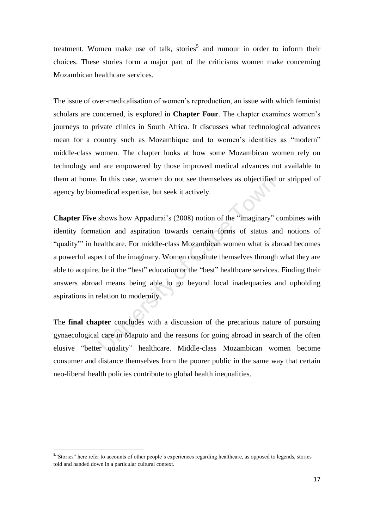treatment. Women make use of talk, stories<sup>5</sup> and rumour in order to inform their choices. These stories form a major part of the criticisms women make concerning Mozambican healthcare services.

The issue of over-medicalisation of women"s reproduction, an issue with which feminist scholars are concerned, is explored in **Chapter Four**. The chapter examines women"s journeys to private clinics in South Africa. It discusses what technological advances mean for a country such as Mozambique and to women's identities as "modern" middle-class women. The chapter looks at how some Mozambican women rely on technology and are empowered by those improved medical advances not available to them at home. In this case, women do not see themselves as objectified or stripped of agency by biomedical expertise, but seek it actively.

In this case, women do not see themselves as objectified<br>medical expertise, but seek it actively.<br>shows how Appadurai's (2008) notion of the "imaginary"<br>tion and aspiration towards certain forms of status and<br>ealthcare. Fo **Chapter Five** shows how Appadurai's (2008) notion of the "imaginary" combines with identity formation and aspiration towards certain forms of status and notions of "quality"" in healthcare. For middle-class Mozambican women what is abroad becomes a powerful aspect of the imaginary. Women constitute themselves through what they are able to acquire, be it the "best" education or the "best" healthcare services. Finding their answers abroad means being able to go beyond local inadequacies and upholding aspirations in relation to modernity.

The **final chapter** concludes with a discussion of the precarious nature of pursuing gynaecological care in Maputo and the reasons for going abroad in search of the often elusive "better quality" healthcare. Middle-class Mozambican women become consumer and distance themselves from the poorer public in the same way that certain neo-liberal health policies contribute to global health inequalities.

1

<sup>&</sup>lt;sup>5</sup>"Stories" here refer to accounts of other people's experiences regarding healthcare, as opposed to legends, stories told and handed down in a particular cultural context.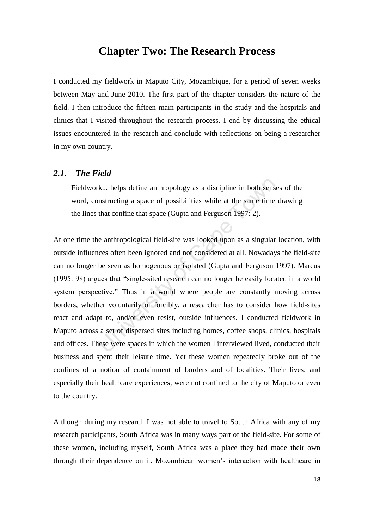# **Chapter Two: The Research Process**

<span id="page-24-0"></span>I conducted my fieldwork in Maputo City, Mozambique, for a period of seven weeks between May and June 2010. The first part of the chapter considers the nature of the field. I then introduce the fifteen main participants in the study and the hospitals and clinics that I visited throughout the research process. I end by discussing the ethical issues encountered in the research and conclude with reflections on being a researcher in my own country.

#### <span id="page-24-1"></span>*2.1. The Field*

Fieldwork... helps define anthropology as a discipline in both senses of the word, constructing a space of possibilities while at the same time drawing the lines that confine that space (Gupta and Ferguson 1997: 2).

k... helps define anthropology as a discipline in both sens<br>nnstructing a space of possibilities while at the same time<br>that confine that space (Gupta and Ferguson 1997: 2).<br>ne anthropological field-site was looked upon as At one time the anthropological field-site was looked upon as a singular location, with outside influences often been ignored and not considered at all. Nowadays the field-site can no longer be seen as homogenous or isolated (Gupta and Ferguson 1997). Marcus (1995: 98) argues that "single-sited research can no longer be easily located in a world system perspective." Thus in a world where people are constantly moving across borders, whether voluntarily or forcibly, a researcher has to consider how field-sites react and adapt to, and/or even resist, outside influences. I conducted fieldwork in Maputo across a set of dispersed sites including homes, coffee shops, clinics, hospitals and offices. These were spaces in which the women I interviewed lived, conducted their business and spent their leisure time. Yet these women repeatedly broke out of the confines of a notion of containment of borders and of localities. Their lives, and especially their healthcare experiences, were not confined to the city of Maputo or even to the country.

Although during my research I was not able to travel to South Africa with any of my research participants, South Africa was in many ways part of the field-site. For some of these women, including myself, South Africa was a place they had made their own through their dependence on it. Mozambican women"s interaction with healthcare in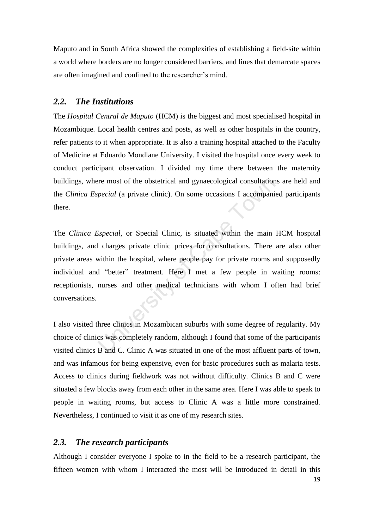Maputo and in South Africa showed the complexities of establishing a field-site within a world where borders are no longer considered barriers, and lines that demarcate spaces are often imagined and confined to the researcher"s mind.

# <span id="page-25-0"></span>*2.2. The Institutions*

The *Hospital Central de Maputo* (HCM) is the biggest and most specialised hospital in Mozambique. Local health centres and posts, as well as other hospitals in the country, refer patients to it when appropriate. It is also a training hospital attached to the Faculty of Medicine at Eduardo Mondlane University. I visited the hospital once every week to conduct participant observation. I divided my time there between the maternity buildings, where most of the obstetrical and gynaecological consultations are held and the *Clinica Especial* (a private clinic). On some occasions I accompanied participants there.

re most of the obstetrical and gynaecological consultation<br>pecial (a private clinic). On some occasions I accompanie<br>Especial, or Special Clinic, is situated within the main<br>clarges private clinic prices for consultations. The *Clinica Especial*, or Special Clinic, is situated within the main HCM hospital buildings, and charges private clinic prices for consultations. There are also other private areas within the hospital, where people pay for private rooms and supposedly individual and "better" treatment. Here I met a few people in waiting rooms: receptionists, nurses and other medical technicians with whom I often had brief conversations.

I also visited three clinics in Mozambican suburbs with some degree of regularity. My choice of clinics was completely random, although I found that some of the participants visited clinics B and C. Clinic A was situated in one of the most affluent parts of town, and was infamous for being expensive, even for basic procedures such as malaria tests. Access to clinics during fieldwork was not without difficulty. Clinics B and C were situated a few blocks away from each other in the same area. Here I was able to speak to people in waiting rooms, but access to Clinic A was a little more constrained. Nevertheless, I continued to visit it as one of my research sites.

## <span id="page-25-1"></span>*2.3. The research participants*

Although I consider everyone I spoke to in the field to be a research participant, the fifteen women with whom I interacted the most will be introduced in detail in this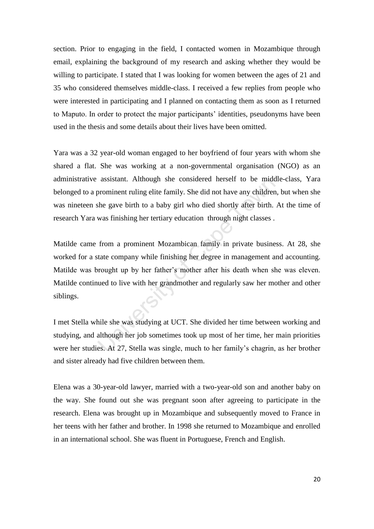section. Prior to engaging in the field, I contacted women in Mozambique through email, explaining the background of my research and asking whether they would be willing to participate. I stated that I was looking for women between the ages of 21 and 35 who considered themselves middle-class. I received a few replies from people who were interested in participating and I planned on contacting them as soon as I returned to Maputo. In order to protect the major participants" identities, pseudonyms have been used in the thesis and some details about their lives have been omitted.

Yara was a 32 year-old woman engaged to her boyfriend of four years with whom she shared a flat. She was working at a non-governmental organisation (NGO) as an administrative assistant. Although she considered herself to be middle-class, Yara belonged to a prominent ruling elite family. She did not have any children, but when she was nineteen she gave birth to a baby girl who died shortly after birth. At the time of research Yara was finishing her tertiary education through night classes .

assistant. Although she considered herself to be midd<br>prominent ruling elite family. She did not have any children<br>she gave birth to a baby girl who died shortly after birth.<br>was finishing her tertiary education through ni Matilde came from a prominent Mozambican family in private business. At 28, she worked for a state company while finishing her degree in management and accounting. Matilde was brought up by her father"s mother after his death when she was eleven. Matilde continued to live with her grandmother and regularly saw her mother and other siblings.

I met Stella while she was studying at UCT. She divided her time between working and studying, and although her job sometimes took up most of her time, her main priorities were her studies. At 27, Stella was single, much to her family"s chagrin, as her brother and sister already had five children between them.

Elena was a 30-year-old lawyer, married with a two-year-old son and another baby on the way. She found out she was pregnant soon after agreeing to participate in the research. Elena was brought up in Mozambique and subsequently moved to France in her teens with her father and brother. In 1998 she returned to Mozambique and enrolled in an international school. She was fluent in Portuguese, French and English.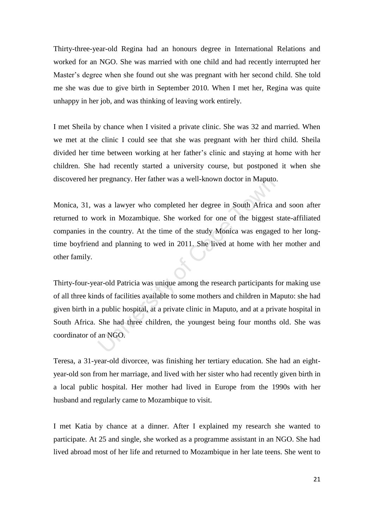Thirty-three-year-old Regina had an honours degree in International Relations and worked for an NGO. She was married with one child and had recently interrupted her Master's degree when she found out she was pregnant with her second child. She told me she was due to give birth in September 2010. When I met her, Regina was quite unhappy in her job, and was thinking of leaving work entirely.

I met Sheila by chance when I visited a private clinic. She was 32 and married. When we met at the clinic I could see that she was pregnant with her third child. Sheila divided her time between working at her father"s clinic and staying at home with her children. She had recently started a university course, but postponed it when she discovered her pregnancy. Her father was a well-known doctor in Maputo.

pregnancy. Her rather was a well-known doctor in Maputo<br>vas a lawyer who completed her degree in South Africa a<br>ork in Mozambique. She worked for one of the biggest<br>the country. At the time of the study Monica was engage<br>a Monica, 31, was a lawyer who completed her degree in South Africa and soon after returned to work in Mozambique. She worked for one of the biggest state-affiliated companies in the country. At the time of the study Monica was engaged to her longtime boyfriend and planning to wed in 2011. She lived at home with her mother and other family.

Thirty-four-year-old Patricia was unique among the research participants for making use of all three kinds of facilities available to some mothers and children in Maputo: she had given birth in a public hospital, at a private clinic in Maputo, and at a private hospital in South Africa. She had three children, the youngest being four months old. She was coordinator of an NGO.

Teresa, a 31-year-old divorcee, was finishing her tertiary education. She had an eightyear-old son from her marriage, and lived with her sister who had recently given birth in a local public hospital. Her mother had lived in Europe from the 1990s with her husband and regularly came to Mozambique to visit.

I met Katia by chance at a dinner. After I explained my research she wanted to participate. At 25 and single, she worked as a programme assistant in an NGO. She had lived abroad most of her life and returned to Mozambique in her late teens. She went to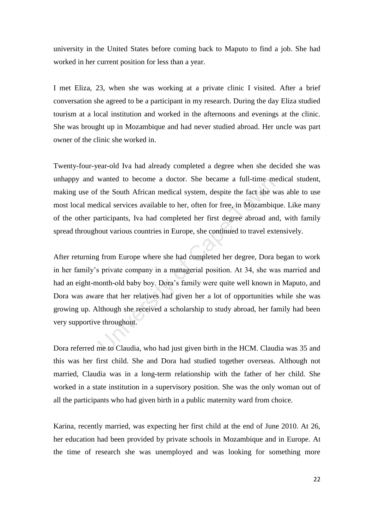university in the United States before coming back to Maputo to find a job. She had worked in her current position for less than a year.

I met Eliza, 23, when she was working at a private clinic I visited. After a brief conversation she agreed to be a participant in my research. During the day Eliza studied tourism at a local institution and worked in the afternoons and evenings at the clinic. She was brought up in Mozambique and had never studied abroad. Her uncle was part owner of the clinic she worked in.

Twenty-four-year-old Iva had already completed a degree when she decided she was unhappy and wanted to become a doctor. She became a full-time medical student, making use of the South African medical system, despite the fact she was able to use most local medical services available to her, often for free, in Mozambique. Like many of the other participants, Iva had completed her first degree abroad and, with family spread throughout various countries in Europe, she continued to travel extensively.

wanted to become a doctor. She became a full-time me<br>
i the South African medical system, despite the fact she w<br>
dical services available to her, often for free, in Mozambiq<br>
articipants, Iva had completed her first degre After returning from Europe where she had completed her degree, Dora began to work in her family"s private company in a managerial position. At 34, she was married and had an eight-month-old baby boy. Dora"s family were quite well known in Maputo, and Dora was aware that her relatives had given her a lot of opportunities while she was growing up. Although she received a scholarship to study abroad, her family had been very supportive throughout.

Dora referred me to Claudia, who had just given birth in the HCM. Claudia was 35 and this was her first child. She and Dora had studied together overseas. Although not married, Claudia was in a long-term relationship with the father of her child. She worked in a state institution in a supervisory position. She was the only woman out of all the participants who had given birth in a public maternity ward from choice.

Karina, recently married, was expecting her first child at the end of June 2010. At 26, her education had been provided by private schools in Mozambique and in Europe. At the time of research she was unemployed and was looking for something more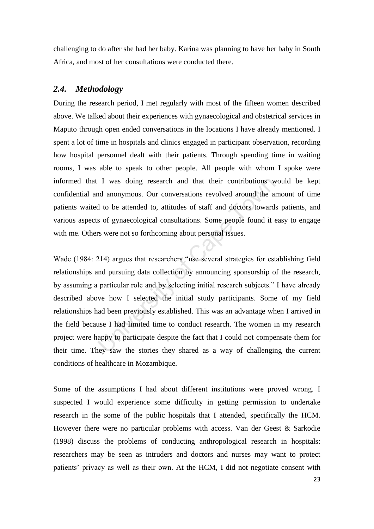challenging to do after she had her baby. Karina was planning to have her baby in South Africa, and most of her consultations were conducted there.

# <span id="page-29-0"></span>*2.4. Methodology*

During the research period, I met regularly with most of the fifteen women described above. We talked about their experiences with gynaecological and obstetrical services in Maputo through open ended conversations in the locations I have already mentioned. I spent a lot of time in hospitals and clinics engaged in participant observation, recording how hospital personnel dealt with their patients. Through spending time in waiting rooms, I was able to speak to other people. All people with whom I spoke were informed that I was doing research and that their contributions would be kept confidential and anonymous. Our conversations revolved around the amount of time patients waited to be attended to, attitudes of staff and doctors towards patients, and various aspects of gynaecological consultations. Some people found it easy to engage with me. Others were not so forthcoming about personal issues.

I was doing research and that their contributions w<br>nd anonymous. Our conversations revolved around the and<br>to be attended to, attitudes of staff and doctors towards<br>s of gynaecological consultations. Some people found it Wade (1984: 214) argues that researchers "use several strategies for establishing field relationships and pursuing data collection by announcing sponsorship of the research, by assuming a particular role and by selecting initial research subjects." I have already described above how I selected the initial study participants. Some of my field relationships had been previously established. This was an advantage when I arrived in the field because I had limited time to conduct research. The women in my research project were happy to participate despite the fact that I could not compensate them for their time. They saw the stories they shared as a way of challenging the current conditions of healthcare in Mozambique.

Some of the assumptions I had about different institutions were proved wrong. I suspected I would experience some difficulty in getting permission to undertake research in the some of the public hospitals that I attended, specifically the HCM. However there were no particular problems with access. Van der Geest & Sarkodie (1998) discuss the problems of conducting anthropological research in hospitals: researchers may be seen as intruders and doctors and nurses may want to protect patients' privacy as well as their own. At the HCM, I did not negotiate consent with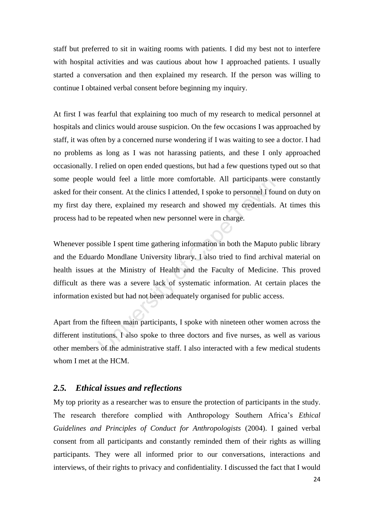staff but preferred to sit in waiting rooms with patients. I did my best not to interfere with hospital activities and was cautious about how I approached patients. I usually started a conversation and then explained my research. If the person was willing to continue I obtained verbal consent before beginning my inquiry.

At first I was fearful that explaining too much of my research to medical personnel at hospitals and clinics would arouse suspicion. On the few occasions I was approached by staff, it was often by a concerned nurse wondering if I was waiting to see a doctor. I had no problems as long as I was not harassing patients, and these I only approached occasionally. I relied on open ended questions, but had a few questions typed out so that some people would feel a little more comfortable. All participants were constantly asked for their consent. At the clinics I attended, I spoke to personnel I found on duty on my first day there, explained my research and showed my credentials. At times this process had to be repeated when new personnel were in charge.

would feel a little more comfortable. All participants w<br>consent. At the clinics I attended, I spoke to personnel I fot<br>here, explained my research and showed my credentials.<br>be repeated when new personnel were in charge.<br> Whenever possible I spent time gathering information in both the Maputo public library and the Eduardo Mondlane University library. I also tried to find archival material on health issues at the Ministry of Health and the Faculty of Medicine. This proved difficult as there was a severe lack of systematic information. At certain places the information existed but had not been adequately organised for public access.

Apart from the fifteen main participants, I spoke with nineteen other women across the different institutions. I also spoke to three doctors and five nurses, as well as various other members of the administrative staff. I also interacted with a few medical students whom I met at the HCM.

# <span id="page-30-0"></span>*2.5. Ethical issues and reflections*

My top priority as a researcher was to ensure the protection of participants in the study. The research therefore complied with Anthropology Southern Africa"s *Ethical Guidelines and Principles of Conduct for Anthropologists* (2004). I gained verbal consent from all participants and constantly reminded them of their rights as willing participants. They were all informed prior to our conversations, interactions and interviews, of their rights to privacy and confidentiality. I discussed the fact that I would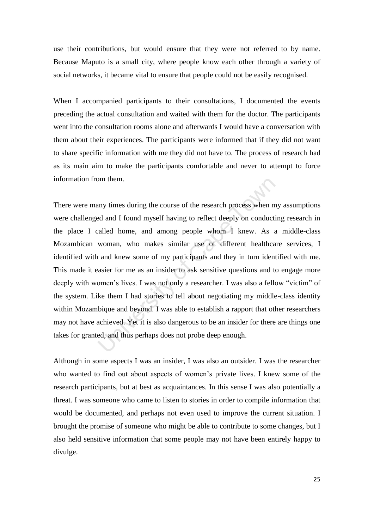use their contributions, but would ensure that they were not referred to by name. Because Maputo is a small city, where people know each other through a variety of social networks, it became vital to ensure that people could not be easily recognised.

When I accompanied participants to their consultations, I documented the events preceding the actual consultation and waited with them for the doctor. The participants went into the consultation rooms alone and afterwards I would have a conversation with them about their experiences. The participants were informed that if they did not want to share specific information with me they did not have to. The process of research had as its main aim to make the participants comfortable and never to attempt to force information from them.

Im them.<br>
In them.<br>
In the soluting the course of the research process when m<br>
In and I found myself having to reflect deeply on conducti<br>
In and knew, and among people whom I knew. As a<br>
In woman, who makes similar use of There were many times during the course of the research process when my assumptions were challenged and I found myself having to reflect deeply on conducting research in the place I called home, and among people whom I knew. As a middle-class Mozambican woman, who makes similar use of different healthcare services, I identified with and knew some of my participants and they in turn identified with me. This made it easier for me as an insider to ask sensitive questions and to engage more deeply with women's lives. I was not only a researcher. I was also a fellow "victim" of the system. Like them I had stories to tell about negotiating my middle-class identity within Mozambique and beyond. I was able to establish a rapport that other researchers may not have achieved. Yet it is also dangerous to be an insider for there are things one takes for granted, and thus perhaps does not probe deep enough.

Although in some aspects I was an insider, I was also an outsider. I was the researcher who wanted to find out about aspects of women's private lives. I knew some of the research participants, but at best as acquaintances. In this sense I was also potentially a threat. I was someone who came to listen to stories in order to compile information that would be documented, and perhaps not even used to improve the current situation. I brought the promise of someone who might be able to contribute to some changes, but I also held sensitive information that some people may not have been entirely happy to divulge.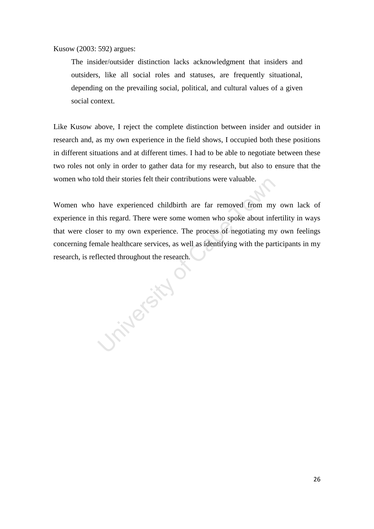Kusow (2003: 592) argues:

The insider/outsider distinction lacks acknowledgment that insiders and outsiders, like all social roles and statuses, are frequently situational, depending on the prevailing social, political, and cultural values of a given social context.

Like Kusow above, I reject the complete distinction between insider and outsider in research and, as my own experience in the field shows, I occupied both these positions in different situations and at different times. I had to be able to negotiate between these two roles not only in order to gather data for my research, but also to ensure that the women who told their stories felt their contributions were valuable.

Women who have experienced childbirth are far removed from my own lack of experience in this regard. There were some women who spoke about infertility in ways that were closer to my own experience. The process of negotiating my own feelings concerning female healthcare services, as well as identifying with the participants in my research, is reflected throughout the research.

University .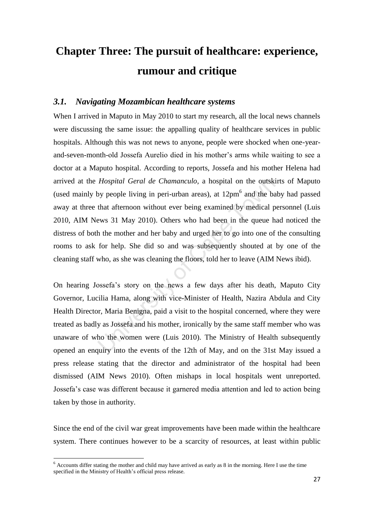# <span id="page-33-0"></span>**Chapter Three: The pursuit of healthcare: experience, rumour and critique**

## <span id="page-33-1"></span>*3.1. Navigating Mozambican healthcare systems*

Hospital Geral de Chamanculo, a hospital on the outskipy people living in peri-urban areas), at  $12pm^6$  and the ba that afternoon without ever being examined by medical pews 31 May 2010). Others who had been in the queue h When I arrived in Maputo in May 2010 to start my research, all the local news channels were discussing the same issue: the appalling quality of healthcare services in public hospitals. Although this was not news to anyone, people were shocked when one-yearand-seven-month-old Jossefa Aurelio died in his mother"s arms while waiting to see a doctor at a Maputo hospital. According to reports, Jossefa and his mother Helena had arrived at the *Hospital Geral de Chamanculo*, a hospital on the outskirts of Maputo (used mainly by people living in peri-urban areas), at  $12pm<sup>6</sup>$  and the baby had passed away at three that afternoon without ever being examined by medical personnel (Luis 2010, AIM News 31 May 2010). Others who had been in the queue had noticed the distress of both the mother and her baby and urged her to go into one of the consulting rooms to ask for help. She did so and was subsequently shouted at by one of the cleaning staff who, as she was cleaning the floors, told her to leave (AIM News ibid).

On hearing Jossefa"s story on the news a few days after his death, Maputo City Governor, Lucilia Hama, along with vice-Minister of Health, Nazira Abdula and City Health Director, Maria Benigna, paid a visit to the hospital concerned, where they were treated as badly as Jossefa and his mother, ironically by the same staff member who was unaware of who the women were (Luis 2010). The Ministry of Health subsequently opened an enquiry into the events of the 12th of May, and on the 31st May issued a press release stating that the director and administrator of the hospital had been dismissed (AIM News 2010). Often mishaps in local hospitals went unreported. Jossefa"s case was different because it garnered media attention and led to action being taken by those in authority.

Since the end of the civil war great improvements have been made within the healthcare system. There continues however to be a scarcity of resources, at least within public

**.** 

 $6$  Accounts differ stating the mother and child may have arrived as early as 8 in the morning. Here I use the time specified in the Ministry of Health's official press release.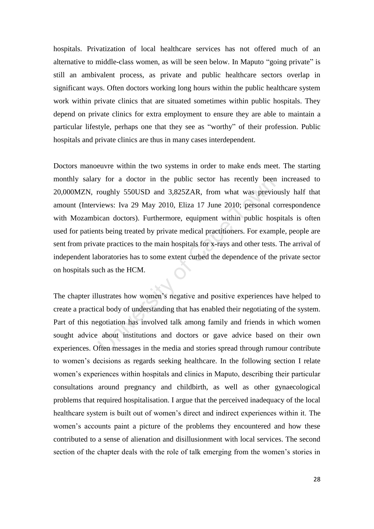hospitals. Privatization of local healthcare services has not offered much of an alternative to middle-class women, as will be seen below. In Maputo "going private" is still an ambivalent process, as private and public healthcare sectors overlap in significant ways. Often doctors working long hours within the public healthcare system work within private clinics that are situated sometimes within public hospitals. They depend on private clinics for extra employment to ensure they are able to maintain a particular lifestyle, perhaps one that they see as "worthy" of their profession. Public hospitals and private clinics are thus in many cases interdependent.

y for a doctor in the public sector has recently been<br>roughly 550USD and 3,825ZAR, from what was previc<br>views: Iva 29 May 2010, Eliza 17 June 2010; personal c<br>ican doctors). Furthermore, equipment within public hos<br>ts bein Doctors manoeuvre within the two systems in order to make ends meet. The starting monthly salary for a doctor in the public sector has recently been increased to 20,000MZN, roughly 550USD and 3,825ZAR, from what was previously half that amount (Interviews: Iva 29 May 2010, Eliza 17 June 2010; personal correspondence with Mozambican doctors). Furthermore, equipment within public hospitals is often used for patients being treated by private medical practitioners. For example, people are sent from private practices to the main hospitals for x-rays and other tests. The arrival of independent laboratories has to some extent curbed the dependence of the private sector on hospitals such as the HCM.

The chapter illustrates how women"s negative and positive experiences have helped to create a practical body of understanding that has enabled their negotiating of the system. Part of this negotiation has involved talk among family and friends in which women sought advice about institutions and doctors or gave advice based on their own experiences. Often messages in the media and stories spread through rumour contribute to women"s decisions as regards seeking healthcare. In the following section I relate women"s experiences within hospitals and clinics in Maputo, describing their particular consultations around pregnancy and childbirth, as well as other gynaecological problems that required hospitalisation. I argue that the perceived inadequacy of the local healthcare system is built out of women's direct and indirect experiences within it. The women's accounts paint a picture of the problems they encountered and how these contributed to a sense of alienation and disillusionment with local services. The second section of the chapter deals with the role of talk emerging from the women's stories in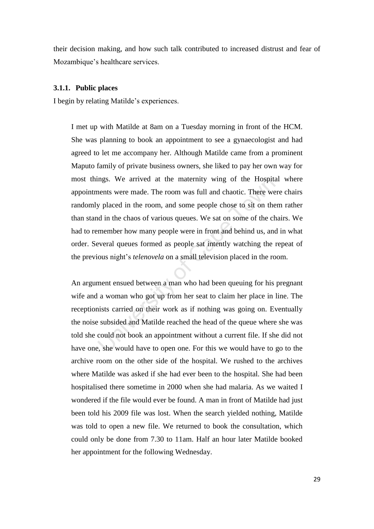their decision making, and how such talk contributed to increased distrust and fear of Mozambique"s healthcare services.

#### <span id="page-35-0"></span>**3.1.1. Public places**

I begin by relating Matilde"s experiences.

may the arrived at the maternity wing of the Hospita<br>ents were made. The room was full and chaotic. There we<br>y placed in the room, and some people chose to sit on the<br>d in the chaos of various queues. We sat on some of the I met up with Matilde at 8am on a Tuesday morning in front of the HCM. She was planning to book an appointment to see a gynaecologist and had agreed to let me accompany her. Although Matilde came from a prominent Maputo family of private business owners, she liked to pay her own way for most things. We arrived at the maternity wing of the Hospital where appointments were made. The room was full and chaotic. There were chairs randomly placed in the room, and some people chose to sit on them rather than stand in the chaos of various queues. We sat on some of the chairs. We had to remember how many people were in front and behind us, and in what order. Several queues formed as people sat intently watching the repeat of the previous night's *telenovela* on a small television placed in the room.

An argument ensued between a man who had been queuing for his pregnant wife and a woman who got up from her seat to claim her place in line. The receptionists carried on their work as if nothing was going on. Eventually the noise subsided and Matilde reached the head of the queue where she was told she could not book an appointment without a current file. If she did not have one, she would have to open one. For this we would have to go to the archive room on the other side of the hospital. We rushed to the archives where Matilde was asked if she had ever been to the hospital. She had been hospitalised there sometime in 2000 when she had malaria. As we waited I wondered if the file would ever be found. A man in front of Matilde had just been told his 2009 file was lost. When the search yielded nothing, Matilde was told to open a new file. We returned to book the consultation, which could only be done from 7.30 to 11am. Half an hour later Matilde booked her appointment for the following Wednesday.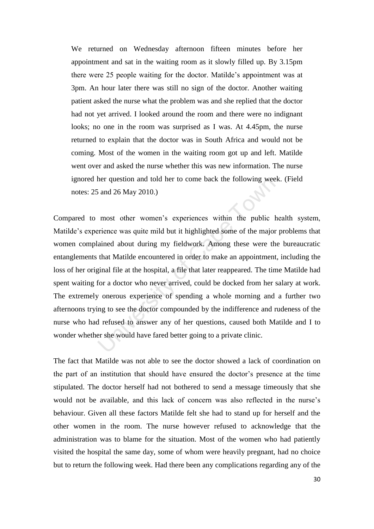We returned on Wednesday afternoon fifteen minutes before her appointment and sat in the waiting room as it slowly filled up. By 3.15pm there were 25 people waiting for the doctor. Matilde"s appointment was at 3pm. An hour later there was still no sign of the doctor. Another waiting patient asked the nurse what the problem was and she replied that the doctor had not yet arrived. I looked around the room and there were no indignant looks; no one in the room was surprised as I was. At 4.45pm, the nurse returned to explain that the doctor was in South Africa and would not be coming. Most of the women in the waiting room got up and left. Matilde went over and asked the nurse whether this was new information. The nurse ignored her question and told her to come back the following week. (Field notes: 25 and 26 May 2010.)

ther question and told her to come back the following wee<br>
is and 26 May 2010.)<br>
most other women's experiences within the public Prience was quite mild but it highlighted some of the major<br>
ained about during my fieldwork Compared to most other women"s experiences within the public health system, Matilde"s experience was quite mild but it highlighted some of the major problems that women complained about during my fieldwork. Among these were the bureaucratic entanglements that Matilde encountered in order to make an appointment, including the loss of her original file at the hospital, a file that later reappeared. The time Matilde had spent waiting for a doctor who never arrived, could be docked from her salary at work. The extremely onerous experience of spending a whole morning and a further two afternoons trying to see the doctor compounded by the indifference and rudeness of the nurse who had refused to answer any of her questions, caused both Matilde and I to wonder whether she would have fared better going to a private clinic.

The fact that Matilde was not able to see the doctor showed a lack of coordination on the part of an institution that should have ensured the doctor"s presence at the time stipulated. The doctor herself had not bothered to send a message timeously that she would not be available, and this lack of concern was also reflected in the nurse's behaviour. Given all these factors Matilde felt she had to stand up for herself and the other women in the room. The nurse however refused to acknowledge that the administration was to blame for the situation. Most of the women who had patiently visited the hospital the same day, some of whom were heavily pregnant, had no choice but to return the following week. Had there been any complications regarding any of the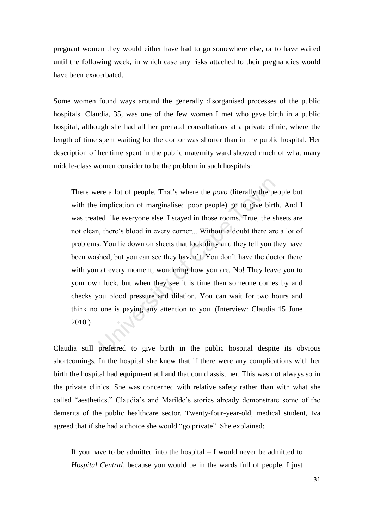pregnant women they would either have had to go somewhere else, or to have waited until the following week, in which case any risks attached to their pregnancies would have been exacerbated.

Some women found ways around the generally disorganised processes of the public hospitals. Claudia, 35, was one of the few women I met who gave birth in a public hospital, although she had all her prenatal consultations at a private clinic, where the length of time spent waiting for the doctor was shorter than in the public hospital. Her description of her time spent in the public maternity ward showed much of what many middle-class women consider to be the problem in such hospitals:

ere a lot of people. That's where the *povo* (literally the peropropole) in induction of marginalised poor people) go to give birtled like everyone else. I stayed in those rooms. True, the sl, there's blood in every corner There were a lot of people. That"s where the *povo* (literally the people but with the implication of marginalised poor people) go to give birth. And I was treated like everyone else. I stayed in those rooms. True, the sheets are not clean, there"s blood in every corner... Without a doubt there are a lot of problems. You lie down on sheets that look dirty and they tell you they have been washed, but you can see they haven't. You don't have the doctor there with you at every moment, wondering how you are. No! They leave you to your own luck, but when they see it is time then someone comes by and checks you blood pressure and dilation. You can wait for two hours and think no one is paying any attention to you. (Interview: Claudia 15 June 2010.)

Claudia still preferred to give birth in the public hospital despite its obvious shortcomings. In the hospital she knew that if there were any complications with her birth the hospital had equipment at hand that could assist her. This was not always so in the private clinics. She was concerned with relative safety rather than with what she called "aesthetics." Claudia"s and Matilde"s stories already demonstrate some of the demerits of the public healthcare sector. Twenty-four-year-old, medical student, Iva agreed that if she had a choice she would "go private". She explained:

If you have to be admitted into the hospital  $-$  I would never be admitted to *Hospital Central*, because you would be in the wards full of people, I just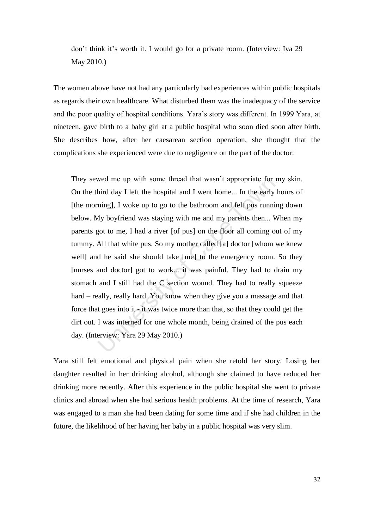don't think it's worth it. I would go for a private room. (Interview: Iva 29 May 2010.)

The women above have not had any particularly bad experiences within public hospitals as regards their own healthcare. What disturbed them was the inadequacy of the service and the poor quality of hospital conditions. Yara"s story was different. In 1999 Yara, at nineteen, gave birth to a baby girl at a public hospital who soon died soon after birth. She describes how, after her caesarean section operation, she thought that the complications she experienced were due to negligence on the part of the doctor:

wed me up with some thread that wasn t appropriate for in third day I left the hospital and I went home... In the early ming], I woke up to go to the bathroom and felt pus runni. My boyfriend was staying with me and my par They sewed me up with some thread that wasn"t appropriate for my skin. On the third day I left the hospital and I went home... In the early hours of [the morning], I woke up to go to the bathroom and felt pus running down below. My boyfriend was staying with me and my parents then... When my parents got to me, I had a river [of pus] on the floor all coming out of my tummy. All that white pus. So my mother called [a] doctor [whom we knew well] and he said she should take [me] to the emergency room. So they [nurses and doctor] got to work... it was painful. They had to drain my stomach and I still had the C section wound. They had to really squeeze hard – really, really hard. You know when they give you a massage and that force that goes into it - it was twice more than that, so that they could get the dirt out. I was interned for one whole month, being drained of the pus each day. (Interview: Yara 29 May 2010.)

Yara still felt emotional and physical pain when she retold her story. Losing her daughter resulted in her drinking alcohol, although she claimed to have reduced her drinking more recently. After this experience in the public hospital she went to private clinics and abroad when she had serious health problems. At the time of research, Yara was engaged to a man she had been dating for some time and if she had children in the future, the likelihood of her having her baby in a public hospital was very slim.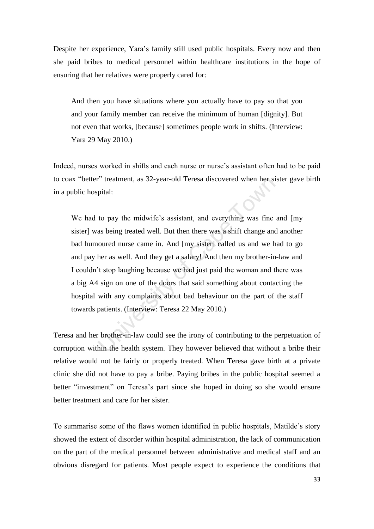Despite her experience, Yara"s family still used public hospitals. Every now and then she paid bribes to medical personnel within healthcare institutions in the hope of ensuring that her relatives were properly cared for:

And then you have situations where you actually have to pay so that you and your family member can receive the minimum of human [dignity]. But not even that works, [because] sometimes people work in shifts. (Interview: Yara 29 May 2010.)

Indeed, nurses worked in shifts and each nurse or nurse"s assistant often had to be paid to coax "better" treatment, as 32-year-old Teresa discovered when her sister gave birth in a public hospital:

The treatment, as 32-year-old Teresa discovered when her si-<br>pital:<br>to pay the midwife's assistant, and everything was fine<br>as being treated well. But then there was a shift change and<br>oured nurse came in. And [my sister] We had to pay the midwife's assistant, and everything was fine and [my] sister] was being treated well. But then there was a shift change and another bad humoured nurse came in. And [my sister] called us and we had to go and pay her as well. And they get a salary! And then my brother-in-law and I couldn"t stop laughing because we had just paid the woman and there was a big A4 sign on one of the doors that said something about contacting the hospital with any complaints about bad behaviour on the part of the staff towards patients. (Interview: Teresa 22 May 2010.)

Teresa and her brother-in-law could see the irony of contributing to the perpetuation of corruption within the health system. They however believed that without a bribe their relative would not be fairly or properly treated. When Teresa gave birth at a private clinic she did not have to pay a bribe. Paying bribes in the public hospital seemed a better "investment" on Teresa"s part since she hoped in doing so she would ensure better treatment and care for her sister.

To summarise some of the flaws women identified in public hospitals, Matilde"s story showed the extent of disorder within hospital administration, the lack of communication on the part of the medical personnel between administrative and medical staff and an obvious disregard for patients. Most people expect to experience the conditions that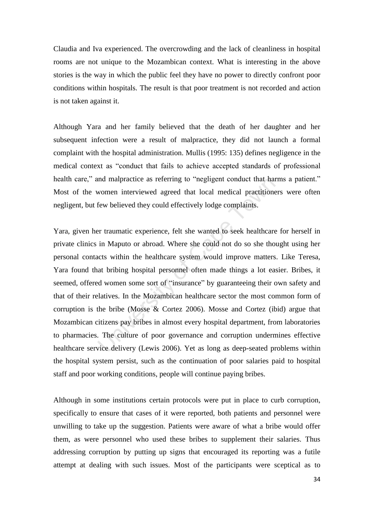Claudia and Iva experienced. The overcrowding and the lack of cleanliness in hospital rooms are not unique to the Mozambican context. What is interesting in the above stories is the way in which the public feel they have no power to directly confront poor conditions within hospitals. The result is that poor treatment is not recorded and action is not taken against it.

Although Yara and her family believed that the death of her daughter and her subsequent infection were a result of malpractice, they did not launch a formal complaint with the hospital administration. Mullis (1995: 135) defines negligence in the medical context as "conduct that fails to achieve accepted standards of professional health care," and malpractice as referring to "negligent conduct that harms a patient." Most of the women interviewed agreed that local medical practitioners were often negligent, but few believed they could effectively lodge complaints.

Ind malpractice as retering to "negligent conduct that hare<br>women interviewed agreed that local medical practitione<br>few believed they could effectively lodge complaints.<br>For traumatic experience, felt she wanted to seek he Yara, given her traumatic experience, felt she wanted to seek healthcare for herself in private clinics in Maputo or abroad. Where she could not do so she thought using her personal contacts within the healthcare system would improve matters. Like Teresa, Yara found that bribing hospital personnel often made things a lot easier. Bribes, it seemed, offered women some sort of "insurance" by guaranteeing their own safety and that of their relatives. In the Mozambican healthcare sector the most common form of corruption is the bribe (Mosse & Cortez 2006). Mosse and Cortez (ibid) argue that Mozambican citizens pay bribes in almost every hospital department, from laboratories to pharmacies. The culture of poor governance and corruption undermines effective healthcare service delivery (Lewis 2006). Yet as long as deep-seated problems within the hospital system persist, such as the continuation of poor salaries paid to hospital staff and poor working conditions, people will continue paying bribes.

Although in some institutions certain protocols were put in place to curb corruption, specifically to ensure that cases of it were reported, both patients and personnel were unwilling to take up the suggestion. Patients were aware of what a bribe would offer them, as were personnel who used these bribes to supplement their salaries. Thus addressing corruption by putting up signs that encouraged its reporting was a futile attempt at dealing with such issues. Most of the participants were sceptical as to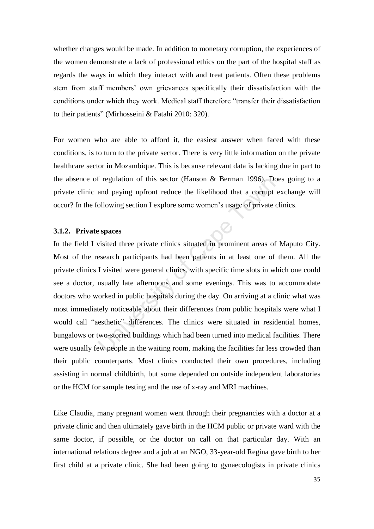whether changes would be made. In addition to monetary corruption, the experiences of the women demonstrate a lack of professional ethics on the part of the hospital staff as regards the ways in which they interact with and treat patients. Often these problems stem from staff members" own grievances specifically their dissatisfaction with the conditions under which they work. Medical staff therefore "transfer their dissatisfaction to their patients" (Mirhosseini & Fatahi 2010: 320).

For women who are able to afford it, the easiest answer when faced with these conditions, is to turn to the private sector. There is very little information on the private healthcare sector in Mozambique. This is because relevant data is lacking due in part to the absence of regulation of this sector (Hanson & Berman 1996). Does going to a private clinic and paying upfront reduce the likelihood that a corrupt exchange will occur? In the following section I explore some women"s usage of private clinics.

#### **3.1.2. Private spaces**

r regulation of this sector (Hanson & Berman 1996). Do<br>and paying upfront reduce the likelihood that a corrupt<br>ollowing section I explore some women's usage of private  $e$ <br>e spaces<br>wisited three private clinics situated in In the field I visited three private clinics situated in prominent areas of Maputo City. Most of the research participants had been patients in at least one of them. All the private clinics I visited were general clinics, with specific time slots in which one could see a doctor, usually late afternoons and some evenings. This was to accommodate doctors who worked in public hospitals during the day. On arriving at a clinic what was most immediately noticeable about their differences from public hospitals were what I would call "aesthetic" differences. The clinics were situated in residential homes, bungalows or two-storied buildings which had been turned into medical facilities. There were usually few people in the waiting room, making the facilities far less crowded than their public counterparts. Most clinics conducted their own procedures, including assisting in normal childbirth, but some depended on outside independent laboratories or the HCM for sample testing and the use of x-ray and MRI machines.

Like Claudia, many pregnant women went through their pregnancies with a doctor at a private clinic and then ultimately gave birth in the HCM public or private ward with the same doctor, if possible, or the doctor on call on that particular day. With an international relations degree and a job at an NGO, 33-year-old Regina gave birth to her first child at a private clinic. She had been going to gynaecologists in private clinics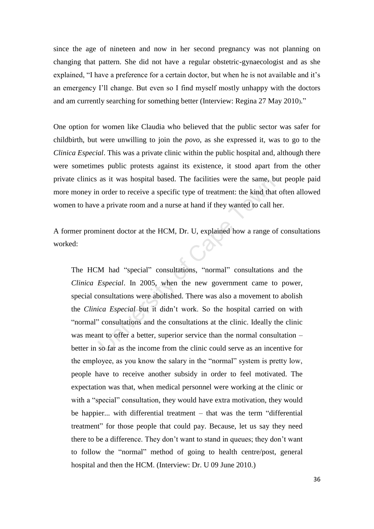since the age of nineteen and now in her second pregnancy was not planning on changing that pattern. She did not have a regular obstetric-gynaecologist and as she explained, "I have a preference for a certain doctor, but when he is not available and it's an emergency I"ll change. But even so I find myself mostly unhappy with the doctors and am currently searching for something better (Interview: Regina 27 May 2010)."

One option for women like Claudia who believed that the public sector was safer for childbirth, but were unwilling to join the *povo*, as she expressed it, was to go to the *Clinica Especial*. This was a private clinic within the public hospital and, although there were sometimes public protests against its existence, it stood apart from the other private clinics as it was hospital based. The facilities were the same, but people paid more money in order to receive a specific type of treatment: the kind that often allowed women to have a private room and a nurse at hand if they wanted to call her.

A former prominent doctor at the HCM, Dr. U, explained how a range of consultations worked:

as it was hospital based. The facilities were the same, b<br>n order to receive a specific type of treatment: the kind that<br>e a private room and a nurse at hand if they wanted to call h<br>ninent doctor at the HCM, Dr. U, explai The HCM had "special" consultations, "normal" consultations and the *Clinica Especial*. In 2005, when the new government came to power, special consultations were abolished. There was also a movement to abolish the *Clinica Especial* but it didn"t work. So the hospital carried on with "normal" consultations and the consultations at the clinic. Ideally the clinic was meant to offer a better, superior service than the normal consultation – better in so far as the income from the clinic could serve as an incentive for the employee, as you know the salary in the "normal" system is pretty low, people have to receive another subsidy in order to feel motivated. The expectation was that, when medical personnel were working at the clinic or with a "special" consultation, they would have extra motivation, they would be happier... with differential treatment – that was the term "differential treatment" for those people that could pay. Because, let us say they need there to be a difference. They don"t want to stand in queues; they don"t want to follow the "normal" method of going to health centre/post, general hospital and then the HCM. (Interview: Dr. U 09 June 2010.)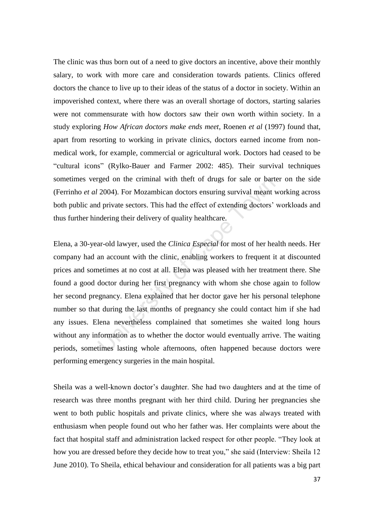The clinic was thus born out of a need to give doctors an incentive, above their monthly salary, to work with more care and consideration towards patients. Clinics offered doctors the chance to live up to their ideas of the status of a doctor in society. Within an impoverished context, where there was an overall shortage of doctors, starting salaries were not commensurate with how doctors saw their own worth within society. In a study exploring *How African doctors make ends meet*, Roenen *et al* (1997) found that, apart from resorting to working in private clinics, doctors earned income from nonmedical work, for example, commercial or agricultural work. Doctors had ceased to be "cultural icons" (Rylko-Bauer and Farmer 2002: 485). Their survival techniques sometimes verged on the criminal with theft of drugs for sale or barter on the side (Ferrinho *et al* 2004). For Mozambican doctors ensuring survival meant working across both public and private sectors. This had the effect of extending doctors' workloads and thus further hindering their delivery of quality healthcare.

read on the criminal with theft of drugs for sale or bartect 2004). For Mozambican doctors ensuring survival meant vd private sectors. This had the effect of extending doctors' andering their delivery of quality healthcare Elena, a 30-year-old lawyer, used the *Clinica Especial* for most of her health needs. Her company had an account with the clinic, enabling workers to frequent it at discounted prices and sometimes at no cost at all. Elena was pleased with her treatment there. She found a good doctor during her first pregnancy with whom she chose again to follow her second pregnancy. Elena explained that her doctor gave her his personal telephone number so that during the last months of pregnancy she could contact him if she had any issues. Elena nevertheless complained that sometimes she waited long hours without any information as to whether the doctor would eventually arrive. The waiting periods, sometimes lasting whole afternoons, often happened because doctors were performing emergency surgeries in the main hospital.

Sheila was a well-known doctor's daughter. She had two daughters and at the time of research was three months pregnant with her third child. During her pregnancies she went to both public hospitals and private clinics, where she was always treated with enthusiasm when people found out who her father was. Her complaints were about the fact that hospital staff and administration lacked respect for other people. "They look at how you are dressed before they decide how to treat you," she said (Interview: Sheila 12 June 2010). To Sheila, ethical behaviour and consideration for all patients was a big part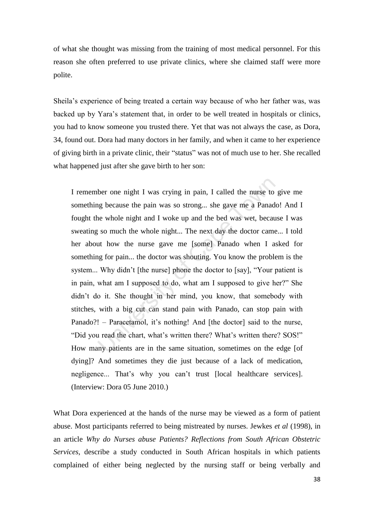of what she thought was missing from the training of most medical personnel. For this reason she often preferred to use private clinics, where she claimed staff were more polite.

Sheila"s experience of being treated a certain way because of who her father was, was backed up by Yara"s statement that, in order to be well treated in hospitals or clinics, you had to know someone you trusted there. Yet that was not always the case, as Dora, 34, found out. Dora had many doctors in her family, and when it came to her experience of giving birth in a private clinic, their "status" was not of much use to her. She recalled what happened just after she gave birth to her son:

ber one night I was crying in pain, I called the nurse to<br>ng because the pain was so strong... she gave me a Panado<br>ne whole night and I woke up and the bed was wet, becau<br>so much the whole night... The next day the doctor I remember one night I was crying in pain, I called the nurse to give me something because the pain was so strong... she gave me a Panado! And I fought the whole night and I woke up and the bed was wet, because I was sweating so much the whole night... The next day the doctor came... I told her about how the nurse gave me [some] Panado when I asked for something for pain... the doctor was shouting. You know the problem is the system... Why didn't [the nurse] phone the doctor to [say], "Your patient is in pain, what am I supposed to do, what am I supposed to give her?" She didn"t do it. She thought in her mind, you know, that somebody with stitches, with a big cut can stand pain with Panado, can stop pain with Panado?! – Paracetamol, it's nothing! And [the doctor] said to the nurse, "Did you read the chart, what's written there? What's written there? SOS!" How many patients are in the same situation, sometimes on the edge [of dying]? And sometimes they die just because of a lack of medication, negligence... That's why you can't trust [local healthcare services]. (Interview: Dora 05 June 2010.)

What Dora experienced at the hands of the nurse may be viewed as a form of patient abuse. Most participants referred to being mistreated by nurses. Jewkes *et al* (1998), in an article *Why do Nurses abuse Patients? Reflections from South African Obstetric Services*, describe a study conducted in South African hospitals in which patients complained of either being neglected by the nursing staff or being verbally and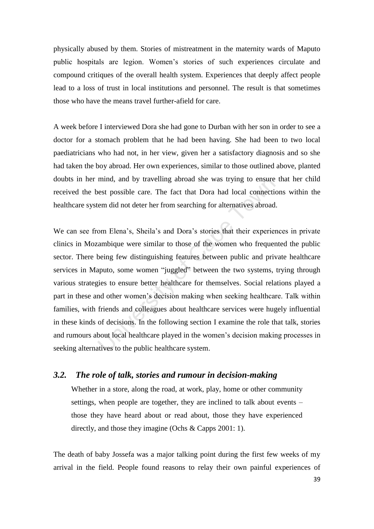physically abused by them. Stories of mistreatment in the maternity wards of Maputo public hospitals are legion. Women"s stories of such experiences circulate and compound critiques of the overall health system. Experiences that deeply affect people lead to a loss of trust in local institutions and personnel. The result is that sometimes those who have the means travel further-afield for care.

A week before I interviewed Dora she had gone to Durban with her son in order to see a doctor for a stomach problem that he had been having. She had been to two local paediatricians who had not, in her view, given her a satisfactory diagnosis and so she had taken the boy abroad. Her own experiences, similar to those outlined above, planted doubts in her mind, and by travelling abroad she was trying to ensure that her child received the best possible care. The fact that Dora had local connections within the healthcare system did not deter her from searching for alternatives abroad.

mind, and by travelling abroad she was trying to ensure<br>eest possible care. The fact that Dora had local connectie<br>em did not deter her from searching for alternatives abroad.<br>om Elena's, Sheila's and Dora's stories that t We can see from Elena's, Sheila's and Dora's stories that their experiences in private clinics in Mozambique were similar to those of the women who frequented the public sector. There being few distinguishing features between public and private healthcare services in Maputo, some women "juggled" between the two systems, trying through various strategies to ensure better healthcare for themselves. Social relations played a part in these and other women"s decision making when seeking healthcare. Talk within families, with friends and colleagues about healthcare services were hugely influential in these kinds of decisions. In the following section I examine the role that talk, stories and rumours about local healthcare played in the women"s decision making processes in seeking alternatives to the public healthcare system.

### *3.2. The role of talk, stories and rumour in decision-making*

Whether in a store, along the road, at work, play, home or other community settings, when people are together, they are inclined to talk about events – those they have heard about or read about, those they have experienced directly, and those they imagine (Ochs & Capps 2001: 1).

The death of baby Jossefa was a major talking point during the first few weeks of my arrival in the field. People found reasons to relay their own painful experiences of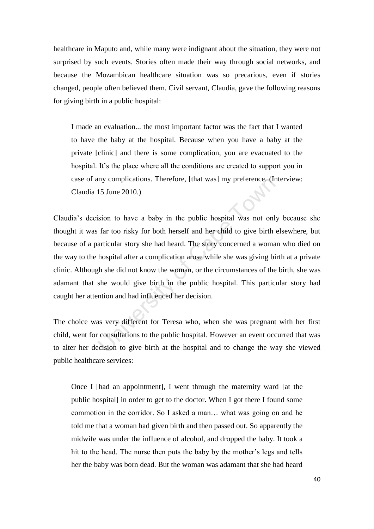healthcare in Maputo and, while many were indignant about the situation, they were not surprised by such events. Stories often made their way through social networks, and because the Mozambican healthcare situation was so precarious, even if stories changed, people often believed them. Civil servant, Claudia, gave the following reasons for giving birth in a public hospital:

I made an evaluation... the most important factor was the fact that I wanted to have the baby at the hospital. Because when you have a baby at the private [clinic] and there is some complication, you are evacuated to the hospital. It's the place where all the conditions are created to support you in case of any complications. Therefore, [that was] my preference. (Interview: Claudia 15 June 2010.)

In the 2010.<br>
Interestore, [that was] my preference. (In<br>
If June 2010.)<br>
Sion to have a baby in the public hospital was not only<br>
far too risky for both herself and her child to give birth<br>
articular story she had heard. Claudia"s decision to have a baby in the public hospital was not only because she thought it was far too risky for both herself and her child to give birth elsewhere, but because of a particular story she had heard. The story concerned a woman who died on the way to the hospital after a complication arose while she was giving birth at a private clinic. Although she did not know the woman, or the circumstances of the birth, she was adamant that she would give birth in the public hospital. This particular story had caught her attention and had influenced her decision.

The choice was very different for Teresa who, when she was pregnant with her first child, went for consultations to the public hospital. However an event occurred that was to alter her decision to give birth at the hospital and to change the way she viewed public healthcare services:

Once I [had an appointment], I went through the maternity ward [at the public hospital] in order to get to the doctor. When I got there I found some commotion in the corridor. So I asked a man… what was going on and he told me that a woman had given birth and then passed out. So apparently the midwife was under the influence of alcohol, and dropped the baby. It took a hit to the head. The nurse then puts the baby by the mother's legs and tells her the baby was born dead. But the woman was adamant that she had heard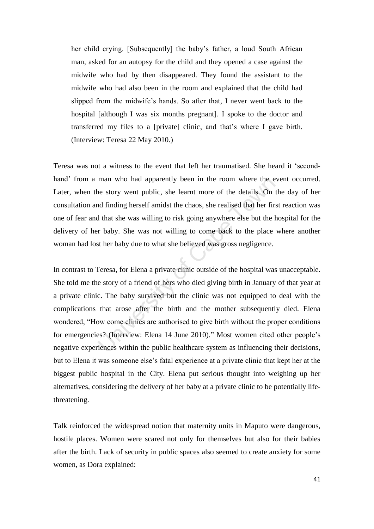her child crying. [Subsequently] the baby"s father, a loud South African man, asked for an autopsy for the child and they opened a case against the midwife who had by then disappeared. They found the assistant to the midwife who had also been in the room and explained that the child had slipped from the midwife"s hands. So after that, I never went back to the hospital [although I was six months pregnant]. I spoke to the doctor and transferred my files to a [private] clinic, and that"s where I gave birth. (Interview: Teresa 22 May 2010.)

Teresa was not a witness to the event that left her traumatised. She heard it "secondhand" from a man who had apparently been in the room where the event occurred. Later, when the story went public, she learnt more of the details. On the day of her consultation and finding herself amidst the chaos, she realised that her first reaction was one of fear and that she was willing to risk going anywhere else but the hospital for the delivery of her baby. She was not willing to come back to the place where another woman had lost her baby due to what she believed was gross negligence.

man who had apparently been in the room where the e<br>he story went public, she learnt more of the details. On the<br>d finding herself amidst the chaos, she realised that her first<br>d that she was willing to risk going anywhere In contrast to Teresa, for Elena a private clinic outside of the hospital was unacceptable. She told me the story of a friend of hers who died giving birth in January of that year at a private clinic. The baby survived but the clinic was not equipped to deal with the complications that arose after the birth and the mother subsequently died. Elena wondered, "How come clinics are authorised to give birth without the proper conditions for emergencies? (Interview: Elena 14 June 2010)." Most women cited other people"s negative experiences within the public healthcare system as influencing their decisions, but to Elena it was someone else"s fatal experience at a private clinic that kept her at the biggest public hospital in the City. Elena put serious thought into weighing up her alternatives, considering the delivery of her baby at a private clinic to be potentially lifethreatening.

Talk reinforced the widespread notion that maternity units in Maputo were dangerous, hostile places. Women were scared not only for themselves but also for their babies after the birth. Lack of security in public spaces also seemed to create anxiety for some women, as Dora explained: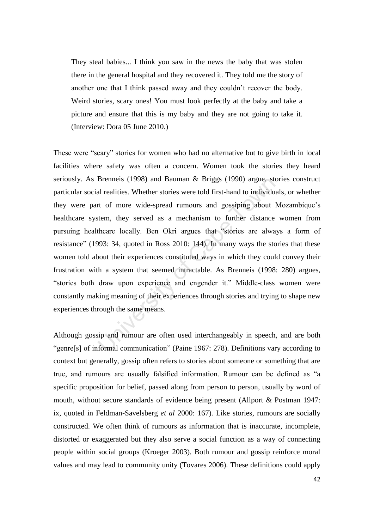They steal babies... I think you saw in the news the baby that was stolen there in the general hospital and they recovered it. They told me the story of another one that I think passed away and they couldn"t recover the body. Weird stories, scary ones! You must look perfectly at the baby and take a picture and ensure that this is my baby and they are not going to take it. (Interview: Dora 05 June 2010.)

Brenneis (1998) and Bauman & Briggs (1990) argue, stal realities. Whether stories were told first-hand to individuant of more wide-spread rumours and gossiping about 1 attem, they served as a mechanism to further distance These were "scary" stories for women who had no alternative but to give birth in local facilities where safety was often a concern. Women took the stories they heard seriously. As Brenneis (1998) and Bauman & Briggs (1990) argue, stories construct particular social realities. Whether stories were told first-hand to individuals, or whether they were part of more wide-spread rumours and gossiping about Mozambique"s healthcare system, they served as a mechanism to further distance women from pursuing healthcare locally. Ben Okri argues that "stories are always a form of resistance" (1993: 34, quoted in Ross 2010: 144). In many ways the stories that these women told about their experiences constituted ways in which they could convey their frustration with a system that seemed intractable. As Brenneis (1998: 280) argues, "stories both draw upon experience and engender it." Middle-class women were constantly making meaning of their experiences through stories and trying to shape new experiences through the same means.

Although gossip and rumour are often used interchangeably in speech, and are both "genre[s] of informal communication" (Paine 1967: 278). Definitions vary according to context but generally, gossip often refers to stories about someone or something that are true, and rumours are usually falsified information. Rumour can be defined as "a specific proposition for belief, passed along from person to person, usually by word of mouth, without secure standards of evidence being present (Allport & Postman 1947: ix, quoted in Feldman-Savelsberg *et al* 2000: 167). Like stories, rumours are socially constructed. We often think of rumours as information that is inaccurate, incomplete, distorted or exaggerated but they also serve a social function as a way of connecting people within social groups (Kroeger 2003). Both rumour and gossip reinforce moral values and may lead to community unity (Tovares 2006). These definitions could apply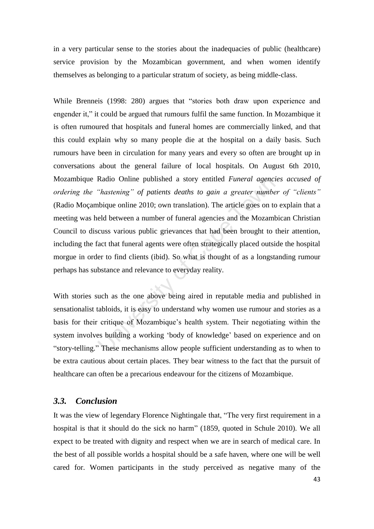in a very particular sense to the stories about the inadequacies of public (healthcare) service provision by the Mozambican government, and when women identify themselves as belonging to a particular stratum of society, as being middle-class.

Radio Online published a story entitled *Funeral agenci*<br>
"hastening" of patients deaths to gain a greater numbe<br>
bique online 2010; own translation). The article goes on to<br>
eld between a number of funeral agencies and th While Brenneis (1998: 280) argues that "stories both draw upon experience and engender it," it could be argued that rumours fulfil the same function. In Mozambique it is often rumoured that hospitals and funeral homes are commercially linked, and that this could explain why so many people die at the hospital on a daily basis. Such rumours have been in circulation for many years and every so often are brought up in conversations about the general failure of local hospitals. On August 6th 2010, Mozambique Radio Online published a story entitled *Funeral agencies accused of ordering the "hastening" of patients deaths to gain a greater number of "clients"* (Radio Moçambique online 2010; own translation). The article goes on to explain that a meeting was held between a number of funeral agencies and the Mozambican Christian Council to discuss various public grievances that had been brought to their attention, including the fact that funeral agents were often strategically placed outside the hospital morgue in order to find clients (ibid). So what is thought of as a longstanding rumour perhaps has substance and relevance to everyday reality.

With stories such as the one above being aired in reputable media and published in sensationalist tabloids, it is easy to understand why women use rumour and stories as a basis for their critique of Mozambique's health system. Their negotiating within the system involves building a working "body of knowledge" based on experience and on "story-telling." These mechanisms allow people sufficient understanding as to when to be extra cautious about certain places. They bear witness to the fact that the pursuit of healthcare can often be a precarious endeavour for the citizens of Mozambique.

#### *3.3. Conclusion*

It was the view of legendary Florence Nightingale that, "The very first requirement in a hospital is that it should do the sick no harm" (1859, quoted in Schule 2010). We all expect to be treated with dignity and respect when we are in search of medical care. In the best of all possible worlds a hospital should be a safe haven, where one will be well cared for. Women participants in the study perceived as negative many of the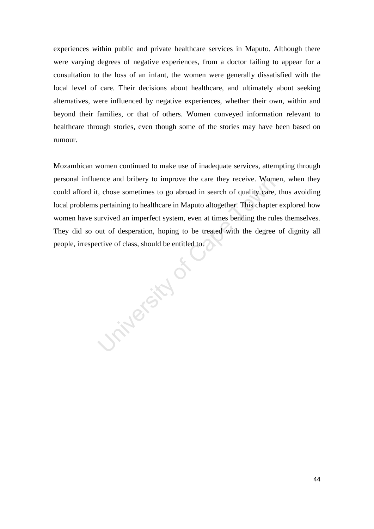experiences within public and private healthcare services in Maputo. Although there were varying degrees of negative experiences, from a doctor failing to appear for a consultation to the loss of an infant, the women were generally dissatisfied with the local level of care. Their decisions about healthcare, and ultimately about seeking alternatives, were influenced by negative experiences, whether their own, within and beyond their families, or that of others. Women conveyed information relevant to healthcare through stories, even though some of the stories may have been based on rumour.

Mozambican women continued to make use of inadequate services, attempting through personal influence and bribery to improve the care they receive. Women, when they could afford it, chose sometimes to go abroad in search of quality care, thus avoiding local problems pertaining to healthcare in Maputo altogether. This chapter explored how women have survived an imperfect system, even at times bending the rules themselves. They did so out of desperation, hoping to be treated with the degree of dignity all people, irrespective of class, should be entitled to.

University of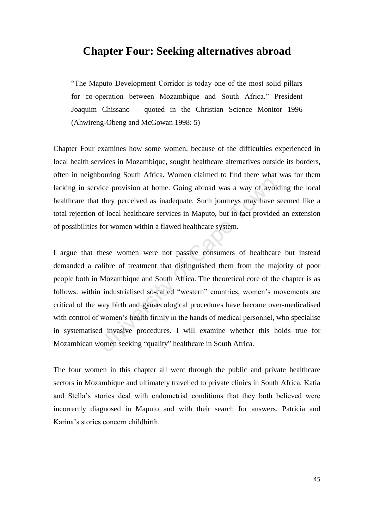# **Chapter Four: Seeking alternatives abroad**

"The Maputo Development Corridor is today one of the most solid pillars for co-operation between Mozambique and South Africa." President Joaquim Chissano – quoted in the Christian Science Monitor 1996 (Ahwireng-Obeng and McGowan 1998: 5)

Chapter Four examines how some women, because of the difficulties experienced in local health services in Mozambique, sought healthcare alternatives outside its borders, often in neighbouring South Africa. Women claimed to find there what was for them lacking in service provision at home. Going abroad was a way of avoiding the local healthcare that they perceived as inadequate. Such journeys may have seemed like a total rejection of local healthcare services in Maputo, but in fact provided an extension of possibilities for women within a flawed healthcare system.

ivice provision at home. Going abroad was a way of avoit they perceived as inadequate. Such journeys may have of local healthcare services in Maputo, but in fact provide for women within a flawed healthcare system.<br>these w I argue that these women were not passive consumers of healthcare but instead demanded a calibre of treatment that distinguished them from the majority of poor people both in Mozambique and South Africa. The theoretical core of the chapter is as follows: within industrialised so-called "western" countries, women's movements are critical of the way birth and gynaecological procedures have become over-medicalised with control of women's health firmly in the hands of medical personnel, who specialise in systematised invasive procedures. I will examine whether this holds true for Mozambican women seeking "quality" healthcare in South Africa.

The four women in this chapter all went through the public and private healthcare sectors in Mozambique and ultimately travelled to private clinics in South Africa. Katia and Stella"s stories deal with endometrial conditions that they both believed were incorrectly diagnosed in Maputo and with their search for answers. Patricia and Karina"s stories concern childbirth.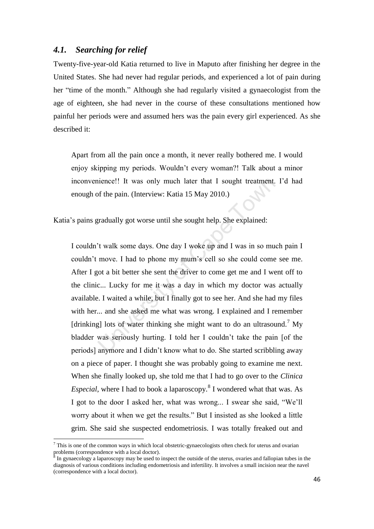#### *4.1. Searching for relief*

1

Twenty-five-year-old Katia returned to live in Maputo after finishing her degree in the United States. She had never had regular periods, and experienced a lot of pain during her "time of the month." Although she had regularly visited a gynaecologist from the age of eighteen, she had never in the course of these consultations mentioned how painful her periods were and assumed hers was the pain every girl experienced. As she described it:

Apart from all the pain once a month, it never really bothered me. I would enjoy skipping my periods. Wouldn"t every woman?! Talk about a minor inconvenience!! It was only much later that I sought treatment. I"d had enough of the pain. (Interview: Katia 15 May 2010.)

Katia"s pains gradually got worse until she sought help. She explained:

ience!! It was only much later that I sought treatment.<br>
of the pain. (Interview: Katia 15 May 2010.)<br>
gradually got worse until she sought help. She explained:<br>
<sup>2</sup>t walk some days. One day I woke up and I was in so mum<br> I couldn"t walk some days. One day I woke up and I was in so much pain I couldn"t move. I had to phone my mum"s cell so she could come see me. After I got a bit better she sent the driver to come get me and I went off to the clinic... Lucky for me it was a day in which my doctor was actually available. I waited a while, but I finally got to see her. And she had my files with her... and she asked me what was wrong. I explained and I remember [drinking] lots of water thinking she might want to do an ultrasound.<sup>7</sup> My bladder was seriously hurting. I told her I couldn"t take the pain [of the periods] anymore and I didn"t know what to do. She started scribbling away on a piece of paper. I thought she was probably going to examine me next. When she finally looked up, she told me that I had to go over to the *Clinica*  Especial, where I had to book a laparoscopy.<sup>8</sup> I wondered what that was. As I got to the door I asked her, what was wrong... I swear she said, "We"ll worry about it when we get the results." But I insisted as she looked a little grim. She said she suspected endometriosis. I was totally freaked out and

 $<sup>7</sup>$  This is one of the common ways in which local obstetric-gynaecologists often check for uterus and ovarian</sup> problems (correspondence with a local doctor).<br><sup>8</sup> In gymnasology a laparosony may be used to

In gynaecology a laparoscopy may be used to inspect the outside of the uterus, ovaries and fallopian tubes in the diagnosis of various conditions including endometriosis and infertility. It involves a small incision near the navel (correspondence with a local doctor).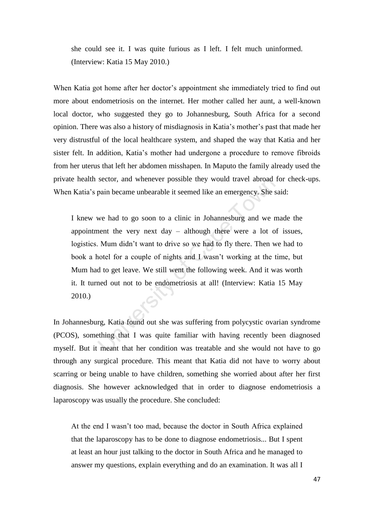she could see it. I was quite furious as I left. I felt much uninformed. (Interview: Katia 15 May 2010.)

When Katia got home after her doctor's appointment she immediately tried to find out more about endometriosis on the internet. Her mother called her aunt, a well-known local doctor, who suggested they go to Johannesburg, South Africa for a second opinion. There was also a history of misdiagnosis in Katia"s mother"s past that made her very distrustful of the local healthcare system, and shaped the way that Katia and her sister felt. In addition, Katia's mother had undergone a procedure to remove fibroids from her uterus that left her abdomen misshapen. In Maputo the family already used the private health sector, and whenever possible they would travel abroad for check-ups. When Katia's pain became unbearable it seemed like an emergency. She said:

sector, and whenever possible they would travel abroad<br>pain became unbearable it seemed like an emergency. She s<br>we had to go soon to a clinic in Johannesburg and we r<br>nent the very next day – although there were a lot o<br>M I knew we had to go soon to a clinic in Johannesburg and we made the appointment the very next day – although there were a lot of issues, logistics. Mum didn"t want to drive so we had to fly there. Then we had to book a hotel for a couple of nights and I wasn"t working at the time, but Mum had to get leave. We still went the following week. And it was worth it. It turned out not to be endometriosis at all! (Interview: Katia 15 May 2010.)

In Johannesburg, Katia found out she was suffering from polycystic ovarian syndrome (PCOS), something that I was quite familiar with having recently been diagnosed myself. But it meant that her condition was treatable and she would not have to go through any surgical procedure. This meant that Katia did not have to worry about scarring or being unable to have children, something she worried about after her first diagnosis. She however acknowledged that in order to diagnose endometriosis a laparoscopy was usually the procedure. She concluded:

At the end I wasn"t too mad, because the doctor in South Africa explained that the laparoscopy has to be done to diagnose endometriosis... But I spent at least an hour just talking to the doctor in South Africa and he managed to answer my questions, explain everything and do an examination. It was all I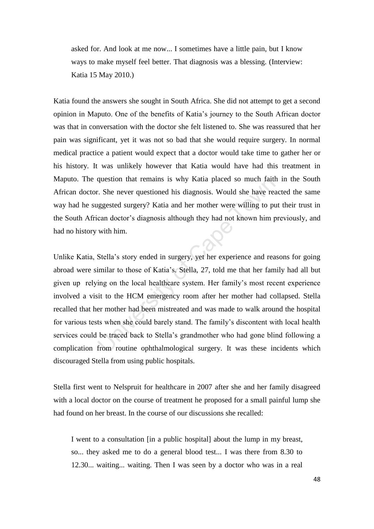asked for. And look at me now... I sometimes have a little pain, but I know ways to make myself feel better. That diagnosis was a blessing. (Interview: Katia 15 May 2010.)

Katia found the answers she sought in South Africa. She did not attempt to get a second opinion in Maputo. One of the benefits of Katia"s journey to the South African doctor was that in conversation with the doctor she felt listened to. She was reassured that her pain was significant, yet it was not so bad that she would require surgery. In normal medical practice a patient would expect that a doctor would take time to gather her or his history. It was unlikely however that Katia would have had this treatment in Maputo. The question that remains is why Katia placed so much faith in the South African doctor. She never questioned his diagnosis. Would she have reacted the same way had he suggested surgery? Katia and her mother were willing to put their trust in the South African doctor"s diagnosis although they had not known him previously, and had no history with him.

question that remains is why Katia placed so much fait<br>  $\cdot$ . She never questioned his diagnosis. Would she have rearggested surgery? Katia and her mother were willing to pu<br>
can doctor's diagnosis although they had not kn Unlike Katia, Stella"s story ended in surgery, yet her experience and reasons for going abroad were similar to those of Katia's. Stella, 27, told me that her family had all but given up relying on the local healthcare system. Her family"s most recent experience involved a visit to the HCM emergency room after her mother had collapsed. Stella recalled that her mother had been mistreated and was made to walk around the hospital for various tests when she could barely stand. The family"s discontent with local health services could be traced back to Stella"s grandmother who had gone blind following a complication from routine ophthalmological surgery. It was these incidents which discouraged Stella from using public hospitals.

Stella first went to Nelspruit for healthcare in 2007 after she and her family disagreed with a local doctor on the course of treatment he proposed for a small painful lump she had found on her breast. In the course of our discussions she recalled:

I went to a consultation [in a public hospital] about the lump in my breast, so... they asked me to do a general blood test... I was there from 8.30 to 12.30... waiting... waiting. Then I was seen by a doctor who was in a real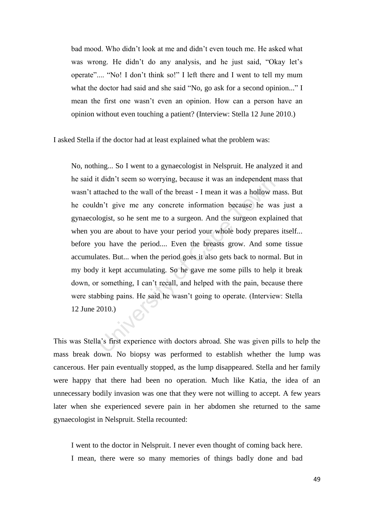bad mood. Who didn"t look at me and didn"t even touch me. He asked what was wrong. He didn't do any analysis, and he just said, "Okay let's operate".... "No! I don"t think so!" I left there and I went to tell my mum what the doctor had said and she said "No, go ask for a second opinion..." I mean the first one wasn"t even an opinion. How can a person have an opinion without even touching a patient? (Interview: Stella 12 June 2010.)

I asked Stella if the doctor had at least explained what the problem was:

If didn't seem so worrying, because it was an independent r<br>ttached to the wall of the breast - I mean it was a hollow n<br>hn't give me any concrete information because he wa<br>logist, so he sent me to a surgeon. And the surge No, nothing... So I went to a gynaecologist in Nelspruit. He analyzed it and he said it didn"t seem so worrying, because it was an independent mass that wasn"t attached to the wall of the breast - I mean it was a hollow mass. But he couldn"t give me any concrete information because he was just a gynaecologist, so he sent me to a surgeon. And the surgeon explained that when you are about to have your period your whole body prepares itself... before you have the period.... Even the breasts grow. And some tissue accumulates. But... when the period goes it also gets back to normal. But in my body it kept accumulating. So he gave me some pills to help it break down, or something, I can"t recall, and helped with the pain, because there were stabbing pains. He said he wasn"t going to operate. (Interview: Stella 12 June 2010.)

This was Stella"s first experience with doctors abroad. She was given pills to help the mass break down. No biopsy was performed to establish whether the lump was cancerous. Her pain eventually stopped, as the lump disappeared. Stella and her family were happy that there had been no operation. Much like Katia, the idea of an unnecessary bodily invasion was one that they were not willing to accept. A few years later when she experienced severe pain in her abdomen she returned to the same gynaecologist in Nelspruit. Stella recounted:

I went to the doctor in Nelspruit. I never even thought of coming back here. I mean, there were so many memories of things badly done and bad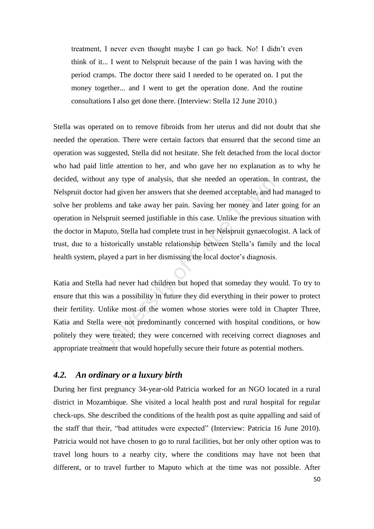treatment, I never even thought maybe I can go back. No! I didn"t even think of it... I went to Nelspruit because of the pain I was having with the period cramps. The doctor there said I needed to be operated on. I put the money together... and I went to get the operation done. And the routine consultations I also get done there. (Interview: Stella 12 June 2010.)

but any type of analysis, that she needed an operation. In<br>or had given her answers that she deemed acceptable, and h<br>lems and take away her pain. Saving her money and late<br>elspruit seemed justifiable in this case. Unlike Stella was operated on to remove fibroids from her uterus and did not doubt that she needed the operation. There were certain factors that ensured that the second time an operation was suggested, Stella did not hesitate. She felt detached from the local doctor who had paid little attention to her, and who gave her no explanation as to why he decided, without any type of analysis, that she needed an operation. In contrast, the Nelspruit doctor had given her answers that she deemed acceptable, and had managed to solve her problems and take away her pain. Saving her money and later going for an operation in Nelspruit seemed justifiable in this case. Unlike the previous situation with the doctor in Maputo, Stella had complete trust in her Nelspruit gynaecologist. A lack of trust, due to a historically unstable relationship between Stella"s family and the local health system, played a part in her dismissing the local doctor's diagnosis.

Katia and Stella had never had children but hoped that someday they would. To try to ensure that this was a possibility in future they did everything in their power to protect their fertility. Unlike most of the women whose stories were told in Chapter Three, Katia and Stella were not predominantly concerned with hospital conditions, or how politely they were treated; they were concerned with receiving correct diagnoses and appropriate treatment that would hopefully secure their future as potential mothers.

### *4.2. An ordinary or a luxury birth*

During her first pregnancy 34-year-old Patricia worked for an NGO located in a rural district in Mozambique. She visited a local health post and rural hospital for regular check-ups. She described the conditions of the health post as quite appalling and said of the staff that their, "bad attitudes were expected" (Interview: Patricia 16 June 2010). Patricia would not have chosen to go to rural facilities, but her only other option was to travel long hours to a nearby city, where the conditions may have not been that different, or to travel further to Maputo which at the time was not possible. After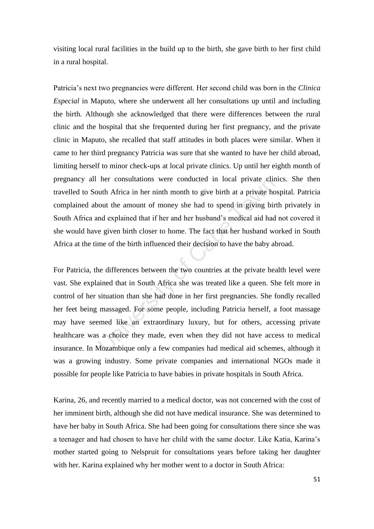visiting local rural facilities in the build up to the birth, she gave birth to her first child in a rural hospital.

Patricia"s next two pregnancies were different. Her second child was born in the *Clinica Especial* in Maputo, where she underwent all her consultations up until and including the birth. Although she acknowledged that there were differences between the rural clinic and the hospital that she frequented during her first pregnancy, and the private clinic in Maputo, she recalled that staff attitudes in both places were similar. When it came to her third pregnancy Patricia was sure that she wanted to have her child abroad, limiting herself to minor check-ups at local private clinics. Up until her eighth month of pregnancy all her consultations were conducted in local private clinics. She then travelled to South Africa in her ninth month to give birth at a private hospital. Patricia complained about the amount of money she had to spend in giving birth privately in South Africa and explained that if her and her husband"s medical aid had not covered it she would have given birth closer to home. The fact that her husband worked in South Africa at the time of the birth influenced their decision to have the baby abroad.

ner consultations were conducted in local private clincation.<br>
Nuth Africa in her ninth month to give birth at a private ho<br>
not the amount of money she had to spend in giving bir<br>
nd explained that if her and her husband' For Patricia, the differences between the two countries at the private health level were vast. She explained that in South Africa she was treated like a queen. She felt more in control of her situation than she had done in her first pregnancies. She fondly recalled her feet being massaged. For some people, including Patricia herself, a foot massage may have seemed like an extraordinary luxury, but for others, accessing private healthcare was a choice they made, even when they did not have access to medical insurance. In Mozambique only a few companies had medical aid schemes, although it was a growing industry. Some private companies and international NGOs made it possible for people like Patricia to have babies in private hospitals in South Africa.

Karina, 26, and recently married to a medical doctor, was not concerned with the cost of her imminent birth, although she did not have medical insurance. She was determined to have her baby in South Africa. She had been going for consultations there since she was a teenager and had chosen to have her child with the same doctor. Like Katia, Karina"s mother started going to Nelspruit for consultations years before taking her daughter with her. Karina explained why her mother went to a doctor in South Africa: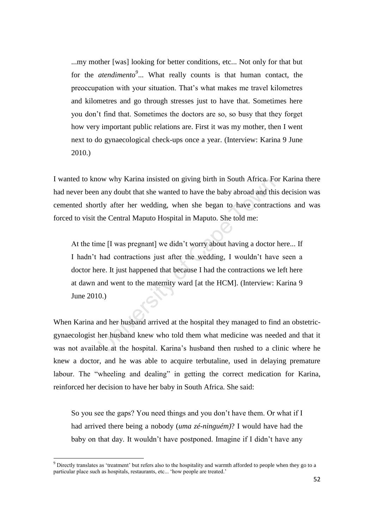...my mother [was] looking for better conditions, etc... Not only for that but for the *atendimento*<sup>9</sup>... What really counts is that human contact, the preoccupation with your situation. That"s what makes me travel kilometres and kilometres and go through stresses just to have that. Sometimes here you don"t find that. Sometimes the doctors are so, so busy that they forget how very important public relations are. First it was my mother, then I went next to do gynaecological check-ups once a year. (Interview: Karina 9 June 2010.)

I wanted to know why Karina insisted on giving birth in South Africa. For Karina there had never been any doubt that she wanted to have the baby abroad and this decision was cemented shortly after her wedding, when she began to have contractions and was forced to visit the Central Maputo Hospital in Maputo. She told me:

ow why Karina insisted on giving birth in South Africa. For any doubt that she wanted to have the baby abroad and this rely after her wedding, when she began to have contract the Central Maputo Hospital in Maputo. She told At the time [I was pregnant] we didn't worry about having a doctor here... If I hadn"t had contractions just after the wedding, I wouldn"t have seen a doctor here. It just happened that because I had the contractions we left here at dawn and went to the maternity ward [at the HCM]. (Interview: Karina 9 June 2010.)

When Karina and her husband arrived at the hospital they managed to find an obstetricgynaecologist her husband knew who told them what medicine was needed and that it was not available at the hospital. Karina"s husband then rushed to a clinic where he knew a doctor, and he was able to acquire terbutaline, used in delaying premature labour. The "wheeling and dealing" in getting the correct medication for Karina, reinforced her decision to have her baby in South Africa. She said:

So you see the gaps? You need things and you don"t have them. Or what if I had arrived there being a nobody (*uma zé-ninguém)*? I would have had the baby on that day. It wouldn"t have postponed. Imagine if I didn"t have any

**.** 

<sup>9</sup> Directly translates as "treatment" but refers also to the hospitality and warmth afforded to people when they go to a particular place such as hospitals, restaurants, etc... 'how people are treated.'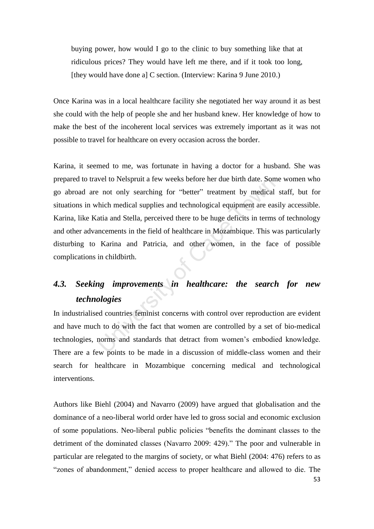buying power, how would I go to the clinic to buy something like that at ridiculous prices? They would have left me there, and if it took too long, [they would have done a] C section. (Interview: Karina 9 June 2010.)

Once Karina was in a local healthcare facility she negotiated her way around it as best she could with the help of people she and her husband knew. Her knowledge of how to make the best of the incoherent local services was extremely important as it was not possible to travel for healthcare on every occasion across the border.

vel to Nelspruit a few weeks before her due birth date. Som<br>
2 not only searching for "better" treatment by medical<br>
thich medical supplies and technological equipment are eas<br>
atia and Stella, perceived there to be huge d Karina, it seemed to me, was fortunate in having a doctor for a husband. She was prepared to travel to Nelspruit a few weeks before her due birth date. Some women who go abroad are not only searching for "better" treatment by medical staff, but for situations in which medical supplies and technological equipment are easily accessible. Karina, like Katia and Stella, perceived there to be huge deficits in terms of technology and other advancements in the field of healthcare in Mozambique. This was particularly disturbing to Karina and Patricia, and other women, in the face of possible complications in childbirth.

# *4.3. Seeking improvements in healthcare: the search for new technologies*

In industrialised countries feminist concerns with control over reproduction are evident and have much to do with the fact that women are controlled by a set of bio-medical technologies, norms and standards that detract from women"s embodied knowledge. There are a few points to be made in a discussion of middle-class women and their search for healthcare in Mozambique concerning medical and technological interventions.

Authors like Biehl (2004) and Navarro (2009) have argued that globalisation and the dominance of a neo-liberal world order have led to gross social and economic exclusion of some populations. Neo-liberal public policies "benefits the dominant classes to the detriment of the dominated classes (Navarro 2009: 429)." The poor and vulnerable in particular are relegated to the margins of society, or what Biehl (2004: 476) refers to as "zones of abandonment," denied access to proper healthcare and allowed to die. The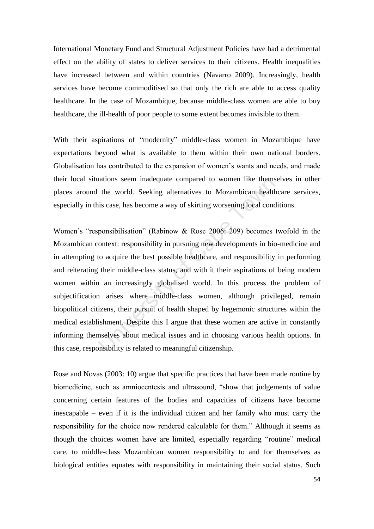International Monetary Fund and Structural Adjustment Policies have had a detrimental effect on the ability of states to deliver services to their citizens. Health inequalities have increased between and within countries (Navarro 2009). Increasingly, health services have become commoditised so that only the rich are able to access quality healthcare. In the case of Mozambique, because middle-class women are able to buy healthcare, the ill-health of poor people to some extent becomes invisible to them.

With their aspirations of "modernity" middle-class women in Mozambique have expectations beyond what is available to them within their own national borders. Globalisation has contributed to the expansion of women"s wants and needs, and made their local situations seem inadequate compared to women like themselves in other places around the world. Seeking alternatives to Mozambican healthcare services, especially in this case, has become a way of skirting worsening local conditions.

aations seem inadequate compared to women like thems<br>the world. Seeking alternatives to Mozambican health<br>is case, has become a way of skirting worsening local cond<br>pponsibilisation" (Rabinow & Rose 2006: 209) becomes i<br>co Women"s "responsibilisation" (Rabinow & Rose 2006: 209) becomes twofold in the Mozambican context: responsibility in pursuing new developments in bio-medicine and in attempting to acquire the best possible healthcare, and responsibility in performing and reiterating their middle-class status, and with it their aspirations of being modern women within an increasingly globalised world. In this process the problem of subjectification arises where middle-class women, although privileged, remain biopolitical citizens, their pursuit of health shaped by hegemonic structures within the medical establishment. Despite this I argue that these women are active in constantly informing themselves about medical issues and in choosing various health options. In this case, responsibility is related to meaningful citizenship.

Rose and Novas (2003: 10) argue that specific practices that have been made routine by biomedicine, such as amniocentesis and ultrasound, "show that judgements of value concerning certain features of the bodies and capacities of citizens have become inescapable – even if it is the individual citizen and her family who must carry the responsibility for the choice now rendered calculable for them." Although it seems as though the choices women have are limited, especially regarding "routine" medical care, to middle-class Mozambican women responsibility to and for themselves as biological entities equates with responsibility in maintaining their social status. Such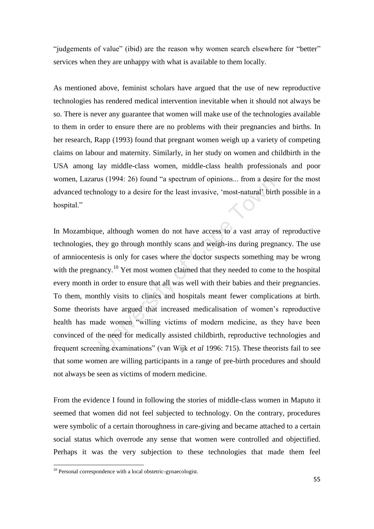"judgements of value" (ibid) are the reason why women search elsewhere for "better" services when they are unhappy with what is available to them locally.

As mentioned above, feminist scholars have argued that the use of new reproductive technologies has rendered medical intervention inevitable when it should not always be so. There is never any guarantee that women will make use of the technologies available to them in order to ensure there are no problems with their pregnancies and births. In her research, Rapp (1993) found that pregnant women weigh up a variety of competing claims on labour and maternity. Similarly, in her study on women and childbirth in the USA among lay middle-class women, middle-class health professionals and poor women, Lazarus (1994: 26) found "a spectrum of opinions... from a desire for the most advanced technology to a desire for the least invasive, "most-natural" birth possible in a hospital."

us (1994: 26) found "a spectrum of opinions... from a desin<br>nology to a desire for the least invasive, 'most-natural' birt<br>nee, although women do not have access to a vast array of<br>hey go through monthly scans and weigh-in In Mozambique, although women do not have access to a vast array of reproductive technologies, they go through monthly scans and weigh-ins during pregnancy. The use of amniocentesis is only for cases where the doctor suspects something may be wrong with the pregnancy.<sup>10</sup> Yet most women claimed that they needed to come to the hospital every month in order to ensure that all was well with their babies and their pregnancies. To them, monthly visits to clinics and hospitals meant fewer complications at birth. Some theorists have argued that increased medicalisation of women"s reproductive health has made women "willing victims of modern medicine, as they have been convinced of the need for medically assisted childbirth, reproductive technologies and frequent screening examinations" (van Wijk *et al* 1996: 715). These theorists fail to see that some women are willing participants in a range of pre-birth procedures and should not always be seen as victims of modern medicine.

From the evidence I found in following the stories of middle-class women in Maputo it seemed that women did not feel subjected to technology. On the contrary, procedures were symbolic of a certain thoroughness in care-giving and became attached to a certain social status which overrode any sense that women were controlled and objectified. Perhaps it was the very subjection to these technologies that made them feel

**.** 

<sup>&</sup>lt;sup>10</sup> Personal correspondence with a local obstetric-gynaecologist.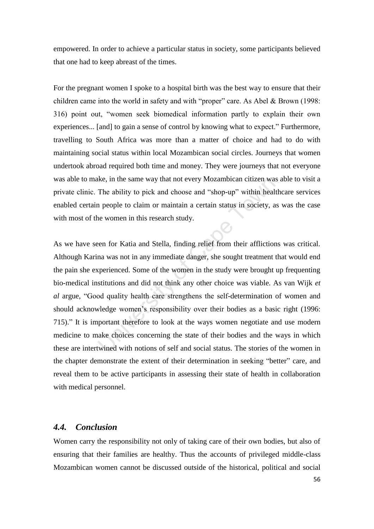empowered. In order to achieve a particular status in society, some participants believed that one had to keep abreast of the times.

For the pregnant women I spoke to a hospital birth was the best way to ensure that their children came into the world in safety and with "proper" care. As Abel & Brown (1998: 316) point out, "women seek biomedical information partly to explain their own experiences... [and] to gain a sense of control by knowing what to expect." Furthermore, travelling to South Africa was more than a matter of choice and had to do with maintaining social status within local Mozambican social circles. Journeys that women undertook abroad required both time and money. They were journeys that not everyone was able to make, in the same way that not every Mozambican citizen was able to visit a private clinic. The ability to pick and choose and "shop-up" within healthcare services enabled certain people to claim or maintain a certain status in society, as was the case with most of the women in this research study.

Ke, in the same way that not every Mozambican citizen was<br>The ability to pick and choose and "shop-up" within heal<br>n people to claim or maintain a certain status in society, a<br>ne women in this research study.<br>For Cape Town As we have seen for Katia and Stella, finding relief from their afflictions was critical. Although Karina was not in any immediate danger, she sought treatment that would end the pain she experienced. Some of the women in the study were brought up frequenting bio-medical institutions and did not think any other choice was viable. As van Wijk *et al* argue, "Good quality health care strengthens the self-determination of women and should acknowledge women"s responsibility over their bodies as a basic right (1996: 715)." It is important therefore to look at the ways women negotiate and use modern medicine to make choices concerning the state of their bodies and the ways in which these are intertwined with notions of self and social status. The stories of the women in the chapter demonstrate the extent of their determination in seeking "better" care, and reveal them to be active participants in assessing their state of health in collaboration with medical personnel.

#### *4.4. Conclusion*

Women carry the responsibility not only of taking care of their own bodies, but also of ensuring that their families are healthy. Thus the accounts of privileged middle-class Mozambican women cannot be discussed outside of the historical, political and social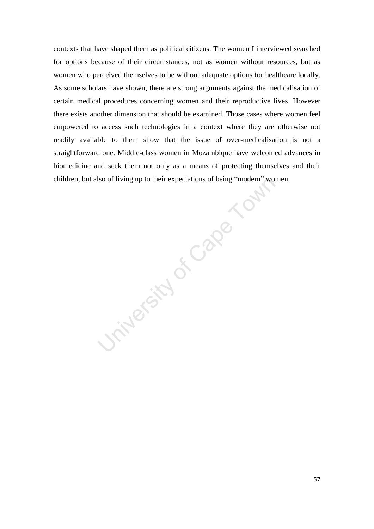contexts that have shaped them as political citizens. The women I interviewed searched for options because of their circumstances, not as women without resources, but as women who perceived themselves to be without adequate options for healthcare locally. As some scholars have shown, there are strong arguments against the medicalisation of certain medical procedures concerning women and their reproductive lives. However there exists another dimension that should be examined. Those cases where women feel empowered to access such technologies in a context where they are otherwise not readily available to them show that the issue of over-medicalisation is not a straightforward one. Middle-class women in Mozambique have welcomed advances in biomedicine and seek them not only as a means of protecting themselves and their children, but also of living up to their expectations of being "modern" women.

we protecting .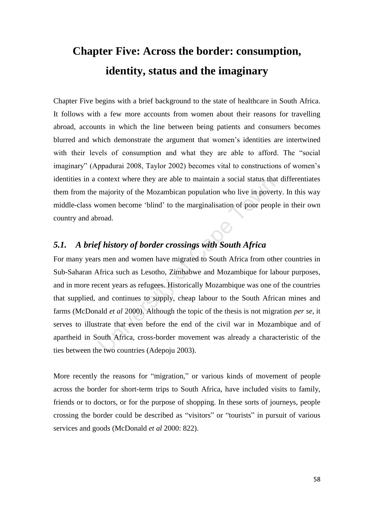# **Chapter Five: Across the border: consumption, identity, status and the imaginary**

Chapter Five begins with a brief background to the state of healthcare in South Africa. It follows with a few more accounts from women about their reasons for travelling abroad, accounts in which the line between being patients and consumers becomes blurred and which demonstrate the argument that women"s identities are intertwined with their levels of consumption and what they are able to afford. The "social imaginary" (Appadurai 2008, Taylor 2002) becomes vital to constructions of women"s identities in a context where they are able to maintain a social status that differentiates them from the majority of the Mozambican population who live in poverty. In this way middle-class women become "blind" to the marginalisation of poor people in their own country and abroad.

## *5.1. A brief history of border crossings with South Africa*

context where they are able to maintain a social status tha<br>majority of the Mozambican population who live in pover<br>vomen become 'blind' to the marginalisation of poor peopl<br>road.<br>friends to the marginalisation of poor peo For many years men and women have migrated to South Africa from other countries in Sub-Saharan Africa such as Lesotho, Zimbabwe and Mozambique for labour purposes, and in more recent years as refugees. Historically Mozambique was one of the countries that supplied, and continues to supply, cheap labour to the South African mines and farms (McDonald *et al* 2000). Although the topic of the thesis is not migration *per se*, it serves to illustrate that even before the end of the civil war in Mozambique and of apartheid in South Africa, cross-border movement was already a characteristic of the ties between the two countries (Adepoju 2003).

More recently the reasons for "migration," or various kinds of movement of people across the border for short-term trips to South Africa, have included visits to family, friends or to doctors, or for the purpose of shopping. In these sorts of journeys, people crossing the border could be described as "visitors" or "tourists" in pursuit of various services and goods (McDonald *et al* 2000: 822).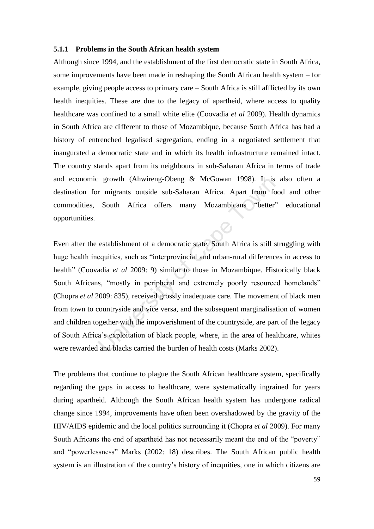#### **5.1.1 Problems in the South African health system**

Although since 1994, and the establishment of the first democratic state in South Africa, some improvements have been made in reshaping the South African health system – for example, giving people access to primary care – South Africa is still afflicted by its own health inequities. These are due to the legacy of apartheid, where access to quality healthcare was confined to a small white elite (Coovadia *et al* 2009). Health dynamics in South Africa are different to those of Mozambique, because South Africa has had a history of entrenched legalised segregation, ending in a negotiated settlement that inaugurated a democratic state and in which its health infrastructure remained intact. The country stands apart from its neighbours in sub-Saharan Africa in terms of trade and economic growth (Ahwireng-Obeng & McGowan 1998). It is also often a destination for migrants outside sub-Saharan Africa. Apart from food and other commodities, South Africa offers many Mozambicans "better" educational opportunities.

Example 1998). It is<br>
r migrants outside sub-Saharan Africa. Apart from fo<br>
South Africa offers many Mozambicans "better"<br>
establishment of a democratic state, South Africa is still s<br>
equities, such as "interprovincial a Even after the establishment of a democratic state, South Africa is still struggling with huge health inequities, such as "interprovincial and urban-rural differences in access to health" (Coovadia *et al* 2009: 9) similar to those in Mozambique. Historically black South Africans, "mostly in peripheral and extremely poorly resourced homelands" (Chopra *et al* 2009: 835), received grossly inadequate care. The movement of black men from town to countryside and vice versa, and the subsequent marginalisation of women and children together with the impoverishment of the countryside, are part of the legacy of South Africa"s exploitation of black people, where, in the area of healthcare, whites were rewarded and blacks carried the burden of health costs (Marks 2002).

The problems that continue to plague the South African healthcare system, specifically regarding the gaps in access to healthcare, were systematically ingrained for years during apartheid. Although the South African health system has undergone radical change since 1994, improvements have often been overshadowed by the gravity of the HIV/AIDS epidemic and the local politics surrounding it (Chopra *et al* 2009). For many South Africans the end of apartheid has not necessarily meant the end of the "poverty" and "powerlessness" Marks (2002: 18) describes. The South African public health system is an illustration of the country's history of inequities, one in which citizens are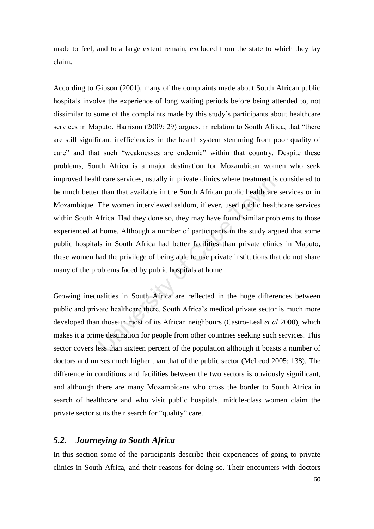made to feel, and to a large extent remain, excluded from the state to which they lay claim.

theare services, usually in private clinics where treatment is<br>
r than that available in the South African public healthcare<br>
The women interviewed seldom, if ever, used public healthcare<br>
The women interviewed seldom, if According to Gibson (2001), many of the complaints made about South African public hospitals involve the experience of long waiting periods before being attended to, not dissimilar to some of the complaints made by this study"s participants about healthcare services in Maputo. Harrison (2009: 29) argues, in relation to South Africa, that "there are still significant inefficiencies in the health system stemming from poor quality of care" and that such "weaknesses are endemic" within that country. Despite these problems, South Africa is a major destination for Mozambican women who seek improved healthcare services, usually in private clinics where treatment is considered to be much better than that available in the South African public healthcare services or in Mozambique. The women interviewed seldom, if ever, used public healthcare services within South Africa. Had they done so, they may have found similar problems to those experienced at home. Although a number of participants in the study argued that some public hospitals in South Africa had better facilities than private clinics in Maputo, these women had the privilege of being able to use private institutions that do not share many of the problems faced by public hospitals at home.

Growing inequalities in South Africa are reflected in the huge differences between public and private healthcare there. South Africa"s medical private sector is much more developed than those in most of its African neighbours (Castro-Leal *et al* 2000), which makes it a prime destination for people from other countries seeking such services. This sector covers less than sixteen percent of the population although it boasts a number of doctors and nurses much higher than that of the public sector (McLeod 2005: 138). The difference in conditions and facilities between the two sectors is obviously significant, and although there are many Mozambicans who cross the border to South Africa in search of healthcare and who visit public hospitals, middle-class women claim the private sector suits their search for "quality" care.

#### *5.2. Journeying to South Africa*

In this section some of the participants describe their experiences of going to private clinics in South Africa, and their reasons for doing so. Their encounters with doctors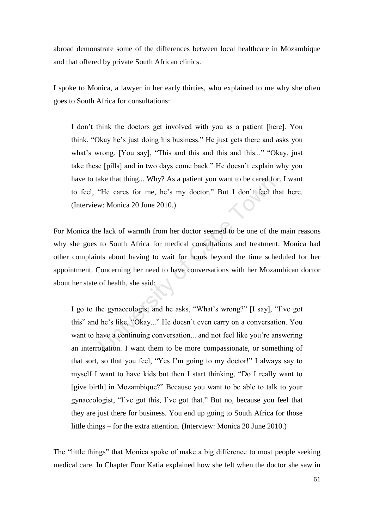abroad demonstrate some of the differences between local healthcare in Mozambique and that offered by private South African clinics.

I spoke to Monica, a lawyer in her early thirties, who explained to me why she often goes to South Africa for consultations:

I don"t think the doctors get involved with you as a patient [here]. You think, "Okay he"s just doing his business." He just gets there and asks you what's wrong. [You say], "This and this and this and this..." "Okay, just take these [pills] and in two days come back." He doesn"t explain why you have to take that thing... Why? As a patient you want to be cared for. I want to feel, "He cares for me, he"s my doctor." But I don"t feel that here. (Interview: Monica 20 June 2010.)

ake that thing... Why? As a patient you want to be cared to<br>
"He cares for me, he's my doctor." But I don't feel tl<br>
w: Monica 20 June 2010.)<br>
e lack of warmth from her doctor seemed to be one of the<br>
to South Africa for m For Monica the lack of warmth from her doctor seemed to be one of the main reasons why she goes to South Africa for medical consultations and treatment. Monica had other complaints about having to wait for hours beyond the time scheduled for her appointment. Concerning her need to have conversations with her Mozambican doctor about her state of health, she said:

I go to the gynaecologist and he asks, "What"s wrong?" [I say], "I"ve got this" and he"s like, "Okay..." He doesn"t even carry on a conversation. You want to have a continuing conversation... and not feel like you're answering an interrogation. I want them to be more compassionate, or something of that sort, so that you feel, "Yes I"m going to my doctor!" I always say to myself I want to have kids but then I start thinking, "Do I really want to [give birth] in Mozambique?" Because you want to be able to talk to your gynaecologist, "I"ve got this, I"ve got that." But no, because you feel that they are just there for business. You end up going to South Africa for those little things – for the extra attention. (Interview: Monica 20 June 2010.)

The "little things" that Monica spoke of make a big difference to most people seeking medical care. In Chapter Four Katia explained how she felt when the doctor she saw in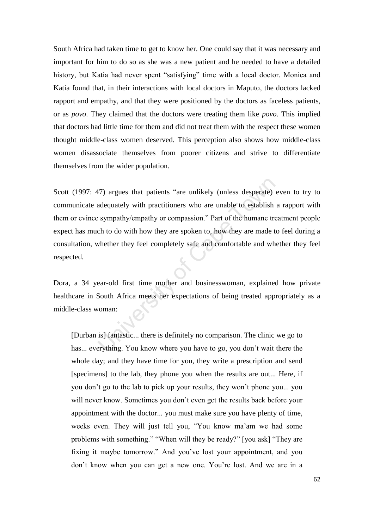South Africa had taken time to get to know her. One could say that it was necessary and important for him to do so as she was a new patient and he needed to have a detailed history, but Katia had never spent "satisfying" time with a local doctor. Monica and Katia found that, in their interactions with local doctors in Maputo, the doctors lacked rapport and empathy, and that they were positioned by the doctors as faceless patients, or as *povo*. They claimed that the doctors were treating them like *povo*. This implied that doctors had little time for them and did not treat them with the respect these women thought middle-class women deserved. This perception also shows how middle-class women disassociate themselves from poorer citizens and strive to differentiate themselves from the wider population.

17) argues that patients "are unlikely (unless desperate) adequately with practitioners who are unable to establish sympathy/empathy or compassion." Part of the humane trech to do with how they are spoken to, how they are Scott (1997: 47) argues that patients "are unlikely (unless desperate) even to try to communicate adequately with practitioners who are unable to establish a rapport with them or evince sympathy/empathy or compassion." Part of the humane treatment people expect has much to do with how they are spoken to, how they are made to feel during a consultation, whether they feel completely safe and comfortable and whether they feel respected.

Dora, a 34 year-old first time mother and businesswoman, explained how private healthcare in South Africa meets her expectations of being treated appropriately as a middle-class woman:

[Durban is] fantastic... there is definitely no comparison. The clinic we go to has... everything. You know where you have to go, you don't wait there the whole day; and they have time for you, they write a prescription and send [specimens] to the lab, they phone you when the results are out... Here, if you don"t go to the lab to pick up your results, they won"t phone you... you will never know. Sometimes you don't even get the results back before your appointment with the doctor... you must make sure you have plenty of time, weeks even. They will just tell you, "You know ma"am we had some problems with something." "When will they be ready?" [you ask] "They are fixing it maybe tomorrow." And you"ve lost your appointment, and you don"t know when you can get a new one. You"re lost. And we are in a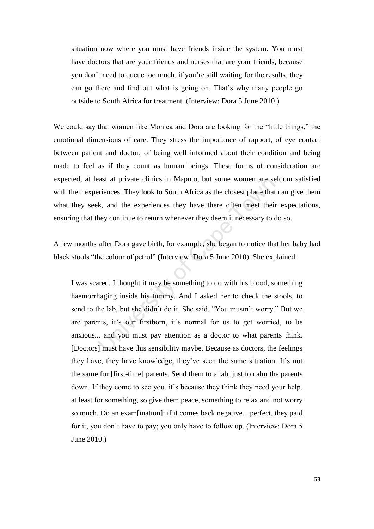situation now where you must have friends inside the system. You must have doctors that are your friends and nurses that are your friends, because you don"t need to queue too much, if you"re still waiting for the results, they can go there and find out what is going on. That"s why many people go outside to South Africa for treatment. (Interview: Dora 5 June 2010.)

We could say that women like Monica and Dora are looking for the "little things," the emotional dimensions of care. They stress the importance of rapport, of eye contact between patient and doctor, of being well informed about their condition and being made to feel as if they count as human beings. These forms of consideration are expected, at least at private clinics in Maputo, but some women are seldom satisfied with their experiences. They look to South Africa as the closest place that can give them what they seek, and the experiences they have there often meet their expectations, ensuring that they continue to return whenever they deem it necessary to do so.

A few months after Dora gave birth, for example, she began to notice that her baby had black stools "the colour of petrol" (Interview: Dora 5 June 2010). She explained:

aast at private clinics in Maputo, but some women are se<br>
eriences. They look to South Africa as the closest place that<br>
k, and the experiences they have there often meet their<br>
hey continue to return whenever they deem it I was scared. I thought it may be something to do with his blood, something haemorrhaging inside his tummy. And I asked her to check the stools, to send to the lab, but she didn"t do it. She said, "You mustn"t worry." But we are parents, it's our firstborn, it's normal for us to get worried, to be anxious... and you must pay attention as a doctor to what parents think. [Doctors] must have this sensibility maybe. Because as doctors, the feelings they have, they have knowledge; they"ve seen the same situation. It"s not the same for [first-time] parents. Send them to a lab, just to calm the parents down. If they come to see you, it's because they think they need your help, at least for something, so give them peace, something to relax and not worry so much. Do an exam[ination]: if it comes back negative... perfect, they paid for it, you don"t have to pay; you only have to follow up. (Interview: Dora 5 June 2010.)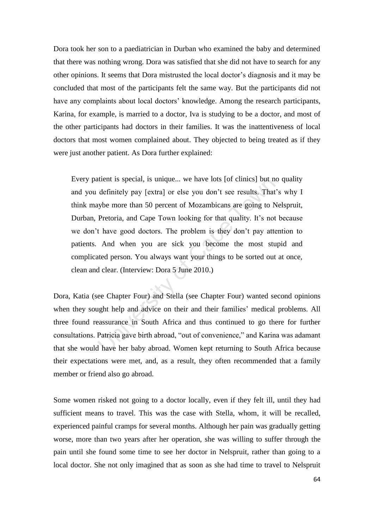Dora took her son to a paediatrician in Durban who examined the baby and determined that there was nothing wrong. Dora was satisfied that she did not have to search for any other opinions. It seems that Dora mistrusted the local doctor"s diagnosis and it may be concluded that most of the participants felt the same way. But the participants did not have any complaints about local doctors' knowledge. Among the research participants, Karina, for example, is married to a doctor, Iva is studying to be a doctor, and most of the other participants had doctors in their families. It was the inattentiveness of local doctors that most women complained about. They objected to being treated as if they were just another patient. As Dora further explained:

thent is special, is unique... we have lots [of clinics] but nedefinitely pay [extra] or else you don't see results. That uybe more than 50 percent of Mozambicans are going to N Pretoria, and Cape Town looking for that qua Every patient is special, is unique... we have lots [of clinics] but no quality and you definitely pay [extra] or else you don"t see results. That"s why I think maybe more than 50 percent of Mozambicans are going to Nelspruit, Durban, Pretoria, and Cape Town looking for that quality. It's not because we don"t have good doctors. The problem is they don"t pay attention to patients. And when you are sick you become the most stupid and complicated person. You always want your things to be sorted out at once, clean and clear. (Interview: Dora 5 June 2010.)

Dora, Katia (see Chapter Four) and Stella (see Chapter Four) wanted second opinions when they sought help and advice on their and their families' medical problems. All three found reassurance in South Africa and thus continued to go there for further consultations. Patricia gave birth abroad, "out of convenience," and Karina was adamant that she would have her baby abroad. Women kept returning to South Africa because their expectations were met, and, as a result, they often recommended that a family member or friend also go abroad.

Some women risked not going to a doctor locally, even if they felt ill, until they had sufficient means to travel. This was the case with Stella, whom, it will be recalled, experienced painful cramps for several months. Although her pain was gradually getting worse, more than two years after her operation, she was willing to suffer through the pain until she found some time to see her doctor in Nelspruit, rather than going to a local doctor. She not only imagined that as soon as she had time to travel to Nelspruit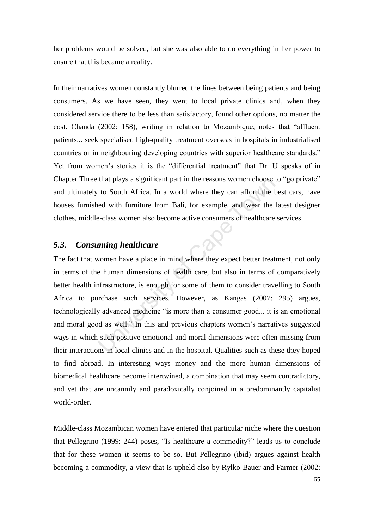her problems would be solved, but she was also able to do everything in her power to ensure that this became a reality.

In their narratives women constantly blurred the lines between being patients and being consumers. As we have seen, they went to local private clinics and, when they considered service there to be less than satisfactory, found other options, no matter the cost. Chanda (2002: 158), writing in relation to Mozambique, notes that "affluent patients... seek specialised high-quality treatment overseas in hospitals in industrialised countries or in neighbouring developing countries with superior healthcare standards." Yet from women"s stories it is the "differential treatment" that Dr. U speaks of in Chapter Three that plays a significant part in the reasons women choose to "go private" and ultimately to South Africa. In a world where they can afford the best cars, have houses furnished with furniture from Bali, for example, and wear the latest designer clothes, middle-class women also become active consumers of healthcare services.

### *5.3. Consuming healthcare*

that plays a significant part in the reasons women choose to South Africa. In a world where they can afford the bed with furniture from Bali, for example, and wear the e-class women also become active consumers of healthca The fact that women have a place in mind where they expect better treatment, not only in terms of the human dimensions of health care, but also in terms of comparatively better health infrastructure, is enough for some of them to consider travelling to South Africa to purchase such services. However, as Kangas (2007: 295) argues, technologically advanced medicine "is more than a consumer good... it is an emotional and moral good as well." In this and previous chapters women"s narratives suggested ways in which such positive emotional and moral dimensions were often missing from their interactions in local clinics and in the hospital. Qualities such as these they hoped to find abroad. In interesting ways money and the more human dimensions of biomedical healthcare become intertwined, a combination that may seem contradictory, and yet that are uncannily and paradoxically conjoined in a predominantly capitalist world-order.

Middle-class Mozambican women have entered that particular niche where the question that Pellegrino (1999: 244) poses, "Is healthcare a commodity?" leads us to conclude that for these women it seems to be so. But Pellegrino (ibid) argues against health becoming a commodity, a view that is upheld also by Rylko-Bauer and Farmer (2002: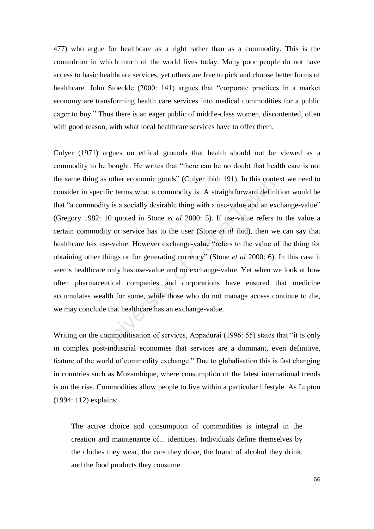477) who argue for healthcare as a right rather than as a commodity. This is the conundrum in which much of the world lives today. Many poor people do not have access to basic healthcare services, yet others are free to pick and choose better forms of healthcare. John Stoeckle (2000: 141) argues that "corporate practices in a market economy are transforming health care services into medical commodities for a public eager to buy." Thus there is an eager public of middle-class women, discontented, often with good reason, with what local healthcare services have to offer them.

as other economic goods" (Culyer ibid: 191). In this contectific terms what a commodity is. A straightforward defindity is a socially desirable thing with a use-value and an ex  $2: 10$  quoted in Stone *et al* 2000: 5). If Culyer (1971) argues on ethical grounds that health should not be viewed as a commodity to be bought. He writes that "there can be no doubt that health care is not the same thing as other economic goods" (Culyer ibid: 191). In this context we need to consider in specific terms what a commodity is. A straightforward definition would be that "a commodity is a socially desirable thing with a use-value and an exchange-value" (Gregory 1982: 10 quoted in Stone *et al* 2000: 5). If use-value refers to the value a certain commodity or service has to the user (Stone *et al* ibid), then we can say that healthcare has use-value. However exchange-value "refers to the value of the thing for obtaining other things or for generating currency" (Stone *et al* 2000: 6). In this case it seems healthcare only has use-value and no exchange-value. Yet when we look at how often pharmaceutical companies and corporations have ensured that medicine accumulates wealth for some, while those who do not manage access continue to die, we may conclude that healthcare has an exchange-value.

Writing on the commoditisation of services, Appadurai (1996: 55) states that "it is only in complex post-industrial economies that services are a dominant, even definitive, feature of the world of commodity exchange." Due to globalisation this is fast changing in countries such as Mozambique, where consumption of the latest international trends is on the rise. Commodities allow people to live within a particular lifestyle. As Lupton (1994: 112) explains:

The active choice and consumption of commodities is integral in the creation and maintenance of... identities. Individuals define themselves by the clothes they wear, the cars they drive, the brand of alcohol they drink, and the food products they consume.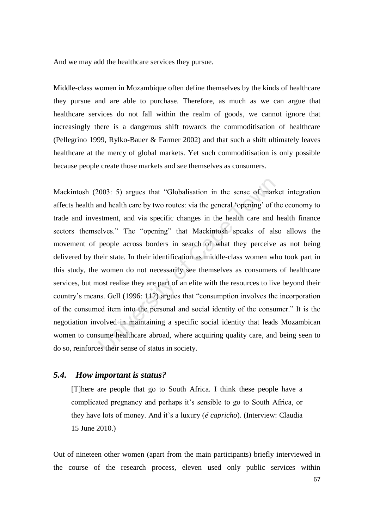And we may add the healthcare services they pursue.

Middle-class women in Mozambique often define themselves by the kinds of healthcare they pursue and are able to purchase. Therefore, as much as we can argue that healthcare services do not fall within the realm of goods, we cannot ignore that increasingly there is a dangerous shift towards the commoditisation of healthcare (Pellegrino 1999, Rylko-Bauer & Farmer 2002) and that such a shift ultimately leaves healthcare at the mercy of global markets. Yet such commoditisation is only possible because people create those markets and see themselves as consumers.

2003: 5) argues that "Globalisation in the sense of marl<br>and health care by two routes: via the general 'opening' of t<br>estment, and via specific changes in the health care and<br>elves." The "opening" that Mackintosh speaks o Mackintosh (2003: 5) argues that "Globalisation in the sense of market integration affects health and health care by two routes: via the general "opening" of the economy to trade and investment, and via specific changes in the health care and health finance sectors themselves." The "opening" that Mackintosh speaks of also allows the movement of people across borders in search of what they perceive as not being delivered by their state. In their identification as middle-class women who took part in this study, the women do not necessarily see themselves as consumers of healthcare services, but most realise they are part of an elite with the resources to live beyond their country"s means. Gell (1996: 112) argues that "consumption involves the incorporation of the consumed item into the personal and social identity of the consumer." It is the negotiation involved in maintaining a specific social identity that leads Mozambican women to consume healthcare abroad, where acquiring quality care, and being seen to do so, reinforces their sense of status in society.

## *5.4. How important is status?*

[T]here are people that go to South Africa. I think these people have a complicated pregnancy and perhaps it's sensible to go to South Africa, or they have lots of money. And it"s a luxury (*é capricho*). (Interview: Claudia 15 June 2010.)

Out of nineteen other women (apart from the main participants) briefly interviewed in the course of the research process, eleven used only public services within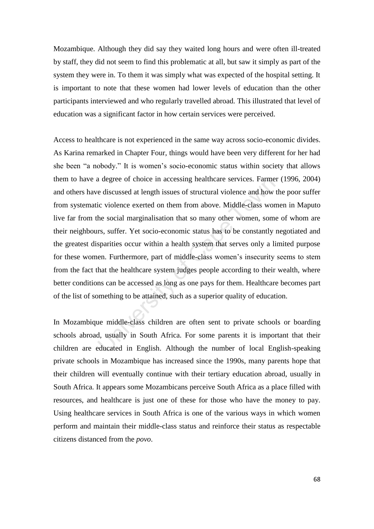Mozambique. Although they did say they waited long hours and were often ill-treated by staff, they did not seem to find this problematic at all, but saw it simply as part of the system they were in. To them it was simply what was expected of the hospital setting. It is important to note that these women had lower levels of education than the other participants interviewed and who regularly travelled abroad. This illustrated that level of education was a significant factor in how certain services were perceived.

a degree of choice in accessing healthcare services. Farme<br>e discussed at length issues of structural violence and how<br>ic violence exerted on them from above. Middle-class won<br>he social marginalisation that so many other w Access to healthcare is not experienced in the same way across socio-economic divides. As Karina remarked in Chapter Four, things would have been very different for her had she been "a nobody." It is women"s socio-economic status within society that allows them to have a degree of choice in accessing healthcare services. Farmer (1996, 2004) and others have discussed at length issues of structural violence and how the poor suffer from systematic violence exerted on them from above. Middle-class women in Maputo live far from the social marginalisation that so many other women, some of whom are their neighbours, suffer. Yet socio-economic status has to be constantly negotiated and the greatest disparities occur within a health system that serves only a limited purpose for these women. Furthermore, part of middle-class women"s insecurity seems to stem from the fact that the healthcare system judges people according to their wealth, where better conditions can be accessed as long as one pays for them. Healthcare becomes part of the list of something to be attained, such as a superior quality of education.

In Mozambique middle-class children are often sent to private schools or boarding schools abroad, usually in South Africa. For some parents it is important that their children are educated in English. Although the number of local English-speaking private schools in Mozambique has increased since the 1990s, many parents hope that their children will eventually continue with their tertiary education abroad, usually in South Africa. It appears some Mozambicans perceive South Africa as a place filled with resources, and healthcare is just one of these for those who have the money to pay. Using healthcare services in South Africa is one of the various ways in which women perform and maintain their middle-class status and reinforce their status as respectable citizens distanced from the *povo*.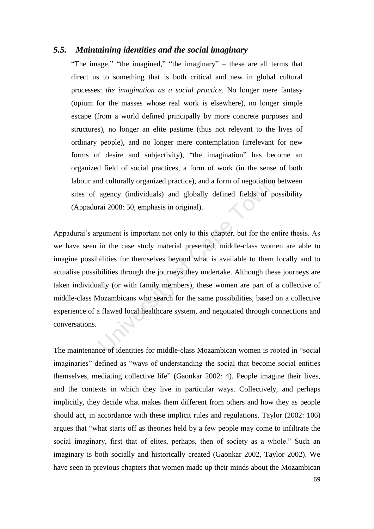### *5.5. Maintaining identities and the social imaginary*

"The image," "the imagined," "the imaginary" – these are all terms that direct us to something that is both critical and new in global cultural processes: *the imagination as a social practice*. No longer mere fantasy (opium for the masses whose real work is elsewhere), no longer simple escape (from a world defined principally by more concrete purposes and structures), no longer an elite pastime (thus not relevant to the lives of ordinary people), and no longer mere contemplation (irrelevant for new forms of desire and subjectivity), "the imagination" has become an organized field of social practices, a form of work (in the sense of both labour and culturally organized practice), and a form of negotiation between sites of agency (individuals) and globally defined fields of possibility (Appadurai 2008: 50, emphasis in original).

nd culturally organized practice), and a form of negotiation<br>agency (individuals) and globally defined fields of pe<br>rai 2008: 50, emphasis in original).<br>The Cape Town Cape Townsian original.<br>The Townsities of the erase stu Appadurai's argument is important not only to this chapter, but for the entire thesis. As we have seen in the case study material presented, middle-class women are able to imagine possibilities for themselves beyond what is available to them locally and to actualise possibilities through the journeys they undertake. Although these journeys are taken individually (or with family members), these women are part of a collective of middle-class Mozambicans who search for the same possibilities, based on a collective experience of a flawed local healthcare system, and negotiated through connections and conversations.

The maintenance of identities for middle-class Mozambican women is rooted in "social imaginaries" defined as "ways of understanding the social that become social entities themselves, mediating collective life" (Gaonkar 2002: 4). People imagine their lives, and the contexts in which they live in particular ways. Collectively, and perhaps implicitly, they decide what makes them different from others and how they as people should act, in accordance with these implicit rules and regulations. Taylor (2002: 106) argues that "what starts off as theories held by a few people may come to infiltrate the social imaginary, first that of elites, perhaps, then of society as a whole." Such an imaginary is both socially and historically created (Gaonkar 2002, Taylor 2002). We have seen in previous chapters that women made up their minds about the Mozambican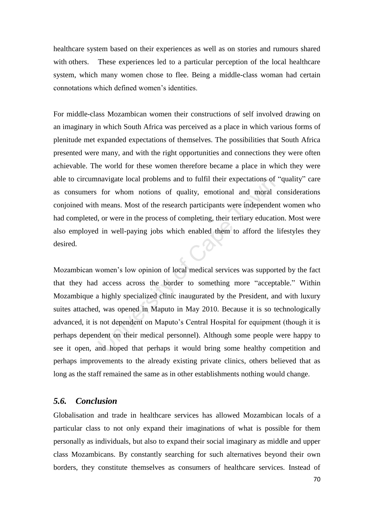healthcare system based on their experiences as well as on stories and rumours shared with others. These experiences led to a particular perception of the local healthcare system, which many women chose to flee. Being a middle-class woman had certain connotations which defined women"s identities.

For middle-class Mozambican women their constructions of self involved drawing on an imaginary in which South Africa was perceived as a place in which various forms of plenitude met expanded expectations of themselves. The possibilities that South Africa presented were many, and with the right opportunities and connections they were often achievable. The world for these women therefore became a place in which they were able to circumnavigate local problems and to fulfil their expectations of "quality" care as consumers for whom notions of quality, emotional and moral considerations conjoined with means. Most of the research participants were independent women who had completed, or were in the process of completing, their tertiary education. Most were also employed in well-paying jobs which enabled them to afford the lifestyles they desired.

navigate local problems and to fulfil their expectations of<br>for whom notions of quality, emotional and moral<br>neans. Most of the research participants were independer<br>or or were in the process of completing, their tertiary Mozambican women"s low opinion of local medical services was supported by the fact that they had access across the border to something more "acceptable." Within Mozambique a highly specialized clinic inaugurated by the President, and with luxury suites attached, was opened in Maputo in May 2010. Because it is so technologically advanced, it is not dependent on Maputo's Central Hospital for equipment (though it is perhaps dependent on their medical personnel). Although some people were happy to see it open, and hoped that perhaps it would bring some healthy competition and perhaps improvements to the already existing private clinics, others believed that as long as the staff remained the same as in other establishments nothing would change.

#### *5.6. Conclusion*

Globalisation and trade in healthcare services has allowed Mozambican locals of a particular class to not only expand their imaginations of what is possible for them personally as individuals, but also to expand their social imaginary as middle and upper class Mozambicans. By constantly searching for such alternatives beyond their own borders, they constitute themselves as consumers of healthcare services. Instead of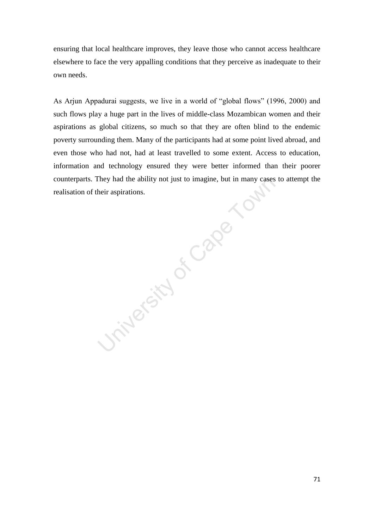ensuring that local healthcare improves, they leave those who cannot access healthcare elsewhere to face the very appalling conditions that they perceive as inadequate to their own needs.

As Arjun Appadurai suggests, we live in a world of "global flows" (1996, 2000) and such flows play a huge part in the lives of middle-class Mozambican women and their aspirations as global citizens, so much so that they are often blind to the endemic poverty surrounding them. Many of the participants had at some point lived abroad, and even those who had not, had at least travelled to some extent. Access to education, information and technology ensured they were better informed than their poorer counterparts. They had the ability not just to imagine, but in many cases to attempt the realisation of their aspirations.

University of Cape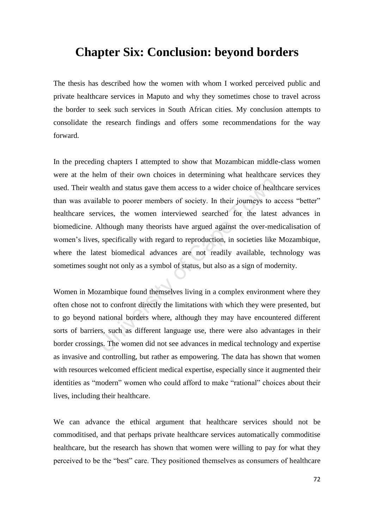# **Chapter Six: Conclusion: beyond borders**

The thesis has described how the women with whom I worked perceived public and private healthcare services in Maputo and why they sometimes chose to travel across the border to seek such services in South African cities. My conclusion attempts to consolidate the research findings and offers some recommendations for the way forward.

ralth and status gave them access to a wider choice of healt<br>able to poorer members of society. In their journeys to a<br>vices, the women interviewed searched for the latest<br>Although many theorists have argued against the ov In the preceding chapters I attempted to show that Mozambican middle-class women were at the helm of their own choices in determining what healthcare services they used. Their wealth and status gave them access to a wider choice of healthcare services than was available to poorer members of society. In their journeys to access "better" healthcare services, the women interviewed searched for the latest advances in biomedicine. Although many theorists have argued against the over-medicalisation of women"s lives, specifically with regard to reproduction, in societies like Mozambique, where the latest biomedical advances are not readily available, technology was sometimes sought not only as a symbol of status, but also as a sign of modernity.

Women in Mozambique found themselves living in a complex environment where they often chose not to confront directly the limitations with which they were presented, but to go beyond national borders where, although they may have encountered different sorts of barriers, such as different language use, there were also advantages in their border crossings. The women did not see advances in medical technology and expertise as invasive and controlling, but rather as empowering. The data has shown that women with resources welcomed efficient medical expertise, especially since it augmented their identities as "modern" women who could afford to make "rational" choices about their lives, including their healthcare.

We can advance the ethical argument that healthcare services should not be commoditised, and that perhaps private healthcare services automatically commoditise healthcare, but the research has shown that women were willing to pay for what they perceived to be the "best" care. They positioned themselves as consumers of healthcare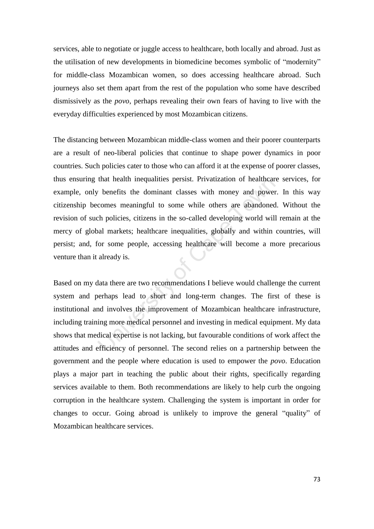services, able to negotiate or juggle access to healthcare, both locally and abroad. Just as the utilisation of new developments in biomedicine becomes symbolic of "modernity" for middle-class Mozambican women, so does accessing healthcare abroad. Such journeys also set them apart from the rest of the population who some have described dismissively as the *povo*, perhaps revealing their own fears of having to live with the everyday difficulties experienced by most Mozambican citizens.

that health inequalities persist. Privatization of healthcare<br>
v benefits the dominant classes with money and power<br>
comes meaningful to some while others are abandoned<br>
ch policies, citizens in the so-called developing wo The distancing between Mozambican middle-class women and their poorer counterparts are a result of neo-liberal policies that continue to shape power dynamics in poor countries. Such policies cater to those who can afford it at the expense of poorer classes, thus ensuring that health inequalities persist. Privatization of healthcare services, for example, only benefits the dominant classes with money and power. In this way citizenship becomes meaningful to some while others are abandoned. Without the revision of such policies, citizens in the so-called developing world will remain at the mercy of global markets; healthcare inequalities, globally and within countries, will persist; and, for some people, accessing healthcare will become a more precarious venture than it already is.

Based on my data there are two recommendations I believe would challenge the current system and perhaps lead to short and long-term changes. The first of these is institutional and involves the improvement of Mozambican healthcare infrastructure, including training more medical personnel and investing in medical equipment. My data shows that medical expertise is not lacking, but favourable conditions of work affect the attitudes and efficiency of personnel. The second relies on a partnership between the government and the people where education is used to empower the *povo*. Education plays a major part in teaching the public about their rights, specifically regarding services available to them. Both recommendations are likely to help curb the ongoing corruption in the healthcare system. Challenging the system is important in order for changes to occur. Going abroad is unlikely to improve the general "quality" of Mozambican healthcare services.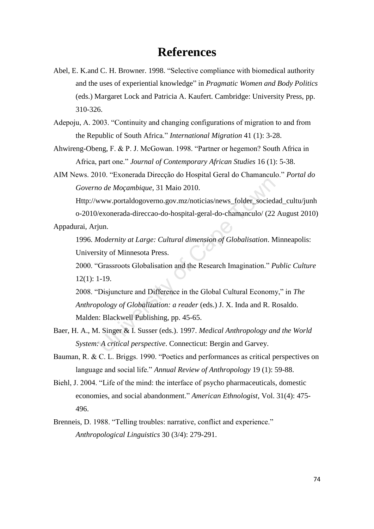# **References**

- Abel, E. K.and C. H. Browner. 1998. "Selective compliance with biomedical authority and the uses of experiential knowledge" in *Pragmatic Women and Body Politics* (eds.) Margaret Lock and Patricia A. Kaufert. Cambridge: University Press, pp. 310-326.
- Adepoju, A. 2003. "Continuity and changing configurations of migration to and from the Republic of South Africa." *International Migration* 41 (1): 3-28.
- Ahwireng-Obeng, F. & P. J. McGowan. 1998. "Partner or hegemon? South Africa in Africa, part one." *Journal of Contemporary African Studies* 16 (1): 5-38.
- AIM News. 2010. "Exonerada Direcção do Hospital Geral do Chamanculo." *Portal do Governo de Moçambique*, 31 Maio 2010.

io de Moçambique, 31 Maio 2010.<br>
www.portaldogoverno.gov.mz/noticias/news\_folder\_socieda<br>
/exonerada-direccao-do-hospital-geral-do-chamanculo/ (22<br>
jun.<br> *Aodernity at Large: Cultural dimension of Globalisation*. M<br>
sity o Http://www.portaldogoverno.gov.mz/noticias/news\_folder\_sociedad\_cultu/junh o-2010/exonerada-direccao-do-hospital-geral-do-chamanculo/ (22 August 2010) Appadurai, Arjun.

1996. *Modernity at Large: Cultural dimension of Globalisation*. Minneapolis: University of Minnesota Press.

2000. "Grassroots Globalisation and the Research Imagination." *Public Culture* 12(1): 1-19.

2008. "Disjuncture and Difference in the Global Cultural Economy," in *The Anthropology of Globalization: a reader* (eds.) J. X. Inda and R. Rosaldo. Malden: Blackwell Publishing, pp. 45-65.

- Baer, H. A., M. Singer & I. Susser (eds.). 1997. *Medical Anthropology and the World System: A critical perspective*. Connecticut: Bergin and Garvey.
- Bauman, R. & C. L. Briggs. 1990. "Poetics and performances as critical perspectives on language and social life." *Annual Review of Anthropology* 19 (1): 59-88.
- Biehl, J. 2004. "Life of the mind: the interface of psycho pharmaceuticals, domestic economies, and social abandonment." *American Ethnologist*, Vol. 31(4): 475- 496.
- Brenneis, D. 1988. "Telling troubles: narrative, conflict and experience." *Anthropological Linguistics* 30 (3/4): 279-291.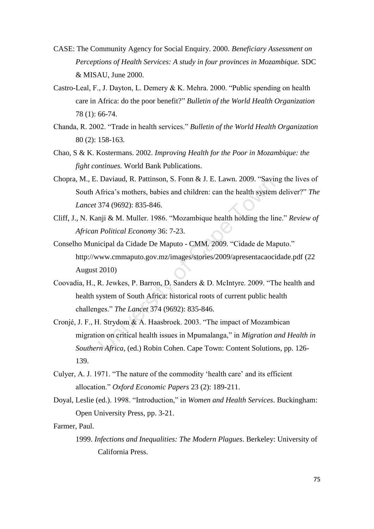- CASE: The Community Agency for Social Enquiry. 2000. *Beneficiary Assessment on Perceptions of Health Services: A study in four provinces in Mozambique.* SDC & MISAU, June 2000.
- Castro-Leal, F., J. Dayton, L. Demery & K. Mehra. 2000. "Public spending on health care in Africa: do the poor benefit?" *Bulletin of the World Health Organization* 78 (1): 66-74.
- Chanda, R. 2002. "Trade in health services." *Bulletin of the World Health Organization* 80 (2): 158-163.
- Chao, S & K. Kostermans. 2002. *Improving Health for the Poor in Mozambique: the fight continues.* World Bank Publications.
- Chopra, M., E. Daviaud, R. Pattinson, S. Fonn & J. E. Lawn. 2009. "Saving the lives of South Africa"s mothers, babies and children: can the health system deliver?" *The Lancet* 374 (9692): 835-846.
- Cliff, J., N. Kanji & M. Muller. 1986. "Mozambique health holding the line." *Review of African Political Economy* 36: 7-23.
- Conselho Municipal da Cidade De Maputo CMM. 2009. "Cidade de Maputo." http://www.cmmaputo.gov.mz/images/stories/2009/apresentacaocidade.pdf (22 August 2010)
- Coovadia, H., R. Jewkes, P. Barron, D. Sanders & D. McIntyre. 2009. "The health and health system of South Africa: historical roots of current public health challenges." *The Lancet* 374 (9692): 835-846.
- Daviaud, R. Pattinson, S. Fonn & J. E. Lawn. 2009. "Savir<br>Africa's mothers, babies and children: can the health system<br>374 (9692): 835-846.<br>nji & M. Muller. 1986. "Mozambique health holding the lin<br>*Political Economy* 36: Cronjé, J. F., H. Strydom & A. Haasbroek. 2003. "The impact of Mozambican migration on critical health issues in Mpumalanga," in *Migration and Health in Southern Africa*, (ed.) Robin Cohen. Cape Town: Content Solutions, pp. 126- 139.
- Culyer, A. J. 1971. "The nature of the commodity "health care" and its efficient allocation." *Oxford Economic Papers* 23 (2): 189-211.
- Doyal, Leslie (ed.). 1998. "Introduction," in *Women and Health Services*. Buckingham: Open University Press, pp. 3-21.

Farmer, Paul.

1999. *Infections and Inequalities: The Modern Plagues*. Berkeley: University of California Press.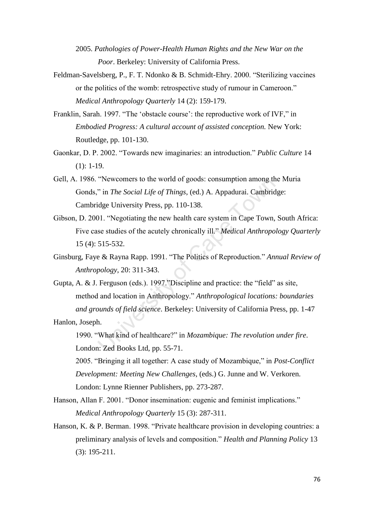2005. *Pathologies of Power-Health Human Rights and the New War on the Poor*. Berkeley: University of California Press.

- Feldman-Savelsberg, P., F. T. Ndonko & B. Schmidt-Ehry. 2000. "Sterilizing vaccines or the politics of the womb: retrospective study of rumour in Cameroon." *Medical Anthropology Quarterly* 14 (2): 159-179.
- Franklin, Sarah. 1997. "The 'obstacle course': the reproductive work of IVF," in *Embodied Progress: A cultural account of assisted conception.* New York: Routledge, pp. 101-130.
- Gaonkar, D. P. 2002. "Towards new imaginaries: an introduction." *Public Culture* 14 (1): 1-19.
- Gell, A. 1986. "Newcomers to the world of goods: consumption among the Muria Gonds," in *The Social Life of Things*, (ed.) A. Appadurai. Cambridge: Cambridge University Press, pp. 110-138.
- Gibson, D. 2001. "Negotiating the new health care system in Cape Town, South Africa: Five case studies of the acutely chronically ill." *Medical Anthropology Quarterly* 15 (4): 515-532.
- Ginsburg, Faye & Rayna Rapp. 1991. "The Politics of Reproduction." *Annual Review of Anthropology*, 20: 311-343.
- "Newcomers to the world of goods: consumption among th<br>
" in *The Social Life of Things*, (ed.) A. Appadurai. Cambrid<br>
idge University Press, pp. 110-138.<br>
D1. "Negotiating the new health care system in Cape Town,<br>
se stud Gupta, A. & J. Ferguson (eds.). 1997."Discipline and practice: the "field" as site, method and location in Anthropology." *Anthropological locations: boundaries and grounds of field science*. Berkeley: University of California Press, pp. 1-47

Hanlon, Joseph.

1990. "What kind of healthcare?" in *Mozambique: The revolution under fire*. London: Zed Books Ltd, pp. 55-71.

2005. "Bringing it all together: A case study of Mozambique," in *Post-Conflict Development: Meeting New Challenges*, (eds.) G. Junne and W. Verkoren. London: Lynne Rienner Publishers, pp. 273-287.

Hanson, Allan F. 2001. "Donor insemination: eugenic and feminist implications." *Medical Anthropology Quarterly* 15 (3): 287-311.

Hanson, K. & P. Berman. 1998. "Private healthcare provision in developing countries: a preliminary analysis of levels and composition." *Health and Planning Policy* 13 (3): 195-211.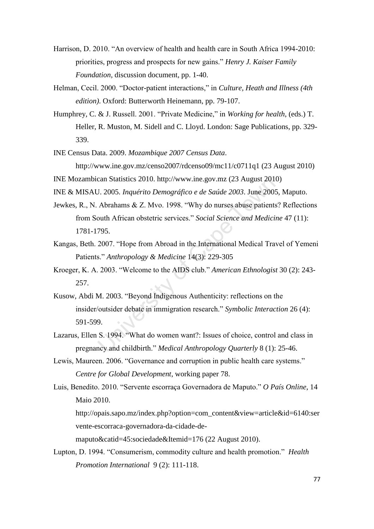- Harrison, D. 2010. "An overview of health and health care in South Africa 1994-2010: priorities, progress and prospects for new gains." *Henry J. Kaiser Family Foundation,* discussion document, pp. 1-40.
- Helman, Cecil. 2000. "Doctor-patient interactions," in *Culture, Heath and Illness (4th edition)*. Oxford: Butterworth Heinemann, pp. 79-107.
- Humphrey, C. & J. Russell. 2001. "Private Medicine," in *Working for health*, (eds.) T. Heller, R. Muston, M. Sidell and C. Lloyd. London: Sage Publications, pp. 329- 339.
- INE Census Data. 2009. *Mozambique 2007 Census Data*. http://www.ine.gov.mz/censo2007/rdcenso09/mc11/c0711q1 (23 August 2010)
- INE Mozambican Statistics 2010. http://www.ine.gov.mz (23 August 2010)
- INE & MISAU. 2005. *Inquérito Demográfico e de Saúde 2003*. June 2005, Maputo.
- Early Statistics 2010. http://www.ine.gov.mz (23 August 2010<br>
U. 2005. *Inquérito Demográfico e de Saúde* 2003. June 2005<br>
Abrahams & Z. Mvo. 1998. "Why do nurses abuse patients<br>
outh African obstetric services." *Social S* Jewkes, R., N. Abrahams & Z. Mvo. 1998. "Why do nurses abuse patients? Reflections from South African obstetric services." *Social Science and Medicine* 47 (11): 1781-1795.
- Kangas, Beth. 2007. "Hope from Abroad in the International Medical Travel of Yemeni Patients." *Anthropology & Medicine* 14(3): 229-305
- Kroeger, K. A. 2003. "Welcome to the AIDS club." *American Ethnologist* 30 (2): 243- 257.
- Kusow, Abdi M. 2003. "Beyond Indigenous Authenticity: reflections on the insider/outsider debate in immigration research." *Symbolic Interaction* 26 (4): 591-599.
- Lazarus, Ellen S. 1994. "What do women want?: Issues of choice, control and class in pregnancy and childbirth." *Medical Anthropology Quarterly* 8 (1): 25-46.
- Lewis, Maureen. 2006. "Governance and corruption in public health care systems." *Centre for Global Development*, working paper 78.
- Luis, Benedito. 2010. "Servente escorraça Governadora de Maputo." *O País Online*, 14 Maio 2010.
	- http://opais.sapo.mz/index.php?option=com\_content&view=article&id=6140:ser vente-escorraca-governadora-da-cidade-de-
	- maputo&catid=45:sociedade&Itemid=176 (22 August 2010).
- Lupton, D. 1994. "Consumerism, commodity culture and health promotion." *Health Promotion International* 9 (2): 111-118.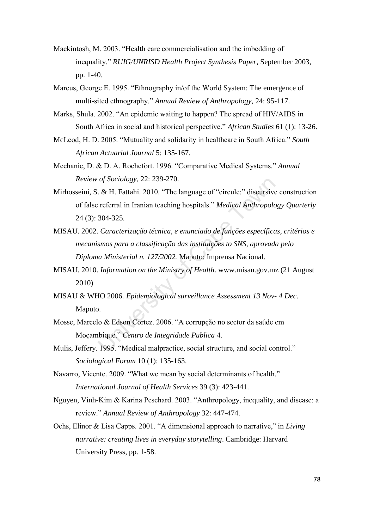- Mackintosh, M. 2003. "Health care commercialisation and the imbedding of inequality." *RUIG/UNRISD Health Project Synthesis Paper*, September 2003, pp. 1-40.
- Marcus, George E. 1995. "Ethnography in/of the World System: The emergence of multi-sited ethnography." *Annual Review of Anthropology*, 24: 95-117.
- Marks, Shula. 2002. "An epidemic waiting to happen? The spread of HIV/AIDS in South Africa in social and historical perspective." *African Studies* 61 (1): 13-26.
- McLeod, H. D. 2005. "Mutuality and solidarity in healthcare in South Africa." *South African Actuarial Journal* 5: 135-167.
- Mechanic, D. & D. A. Rochefort. 1996. "Comparative Medical Systems." *Annual Review of Sociology*, 22: 239-270.
- Mirhosseini, S. & H. Fattahi. 2010. "The language of "circule:" discursive construction of false referral in Iranian teaching hospitals." *Medical Anthropology Quarterly* 24 (3): 304-325.
- of Sociology, 22: 239-270.<br>
& H. Fattahi. 2010. "The language of "circule:" discursive<br>
referral in Iranian teaching hospitals." *Medical Anthropolo*<br>
304-325.<br>
Caracterização técnica, e enunciado de funções específica<br>
sm MISAU. 2002. *Caracterização técnica, e enunciado de funções específicas, critérios e mecanismos para a classificação das instituições to SNS, aprovada pelo Diploma Ministerial n. 127/2002.* Maputo: Imprensa Nacional.
- MISAU. 2010. *Information on the Ministry of Health*. www.misau.gov.mz (21 August 2010)
- MISAU & WHO 2006. *Epidemiological surveillance Assessment 13 Nov- 4 Dec*. Maputo.
- Mosse, Marcelo & Edson Cortez. 2006. "A corrupção no sector da saúde em Moçambique." *Centro de Integridade Publica* 4.
- Mulis, Jeffery. 1995. "Medical malpractice, social structure, and social control." *Sociological Forum* 10 (1): 135-163.
- Navarro, Vicente. 2009. "What we mean by social determinants of health." *International Journal of Health Services* 39 (3): 423-441.
- Nguyen, Vinh-Kim & Karina Peschard. 2003. "Anthropology, inequality, and disease: a review." *Annual Review of Anthropology* 32: 447-474.
- Ochs, Elinor & Lisa Capps. 2001. "A dimensional approach to narrative," in *Living narrative: creating lives in everyday storytelling*. Cambridge: Harvard University Press, pp. 1-58.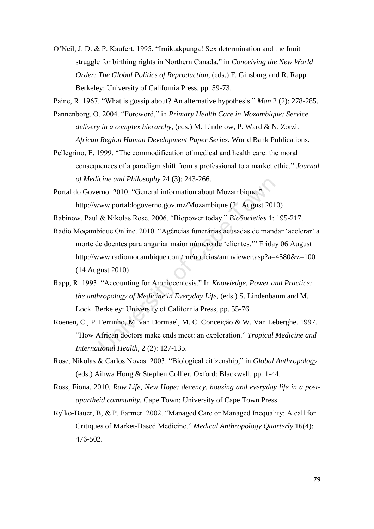O"Neil, J. D. & P. Kaufert. 1995. "Irniktakpunga! Sex determination and the Inuit struggle for birthing rights in Northern Canada," in *Conceiving the New World Order: The Global Politics of Reproduction*, (eds.) F. Ginsburg and R. Rapp. Berkeley: University of California Press, pp. 59-73.

Paine, R. 1967. "What is gossip about? An alternative hypothesis." *Man* 2 (2): 278-285.

- Pannenborg, O. 2004. "Foreword," in *Primary Health Care in Mozambique: Service delivery in a complex hierarchy*, (eds.) M. Lindelow, P. Ward & N. Zorzi. *African Region Human Development Paper Series*. World Bank Publications.
- Pellegrino, E. 1999. "The commodification of medical and health care: the moral consequences of a paradigm shift from a professional to a market ethic." *Journal of Medicine and Philosophy* 24 (3): 243-266.

Portal do Governo. 2010. "General information about Mozambique." http://www.portaldogoverno.gov.mz/Mozambique (21 August 2010)

Rabinow, Paul & Nikolas Rose. 2006. "Biopower today." *BioSocieties* 1: 195-217.

- icine and Philosophy 24 (3): 243-266.<br>
Erno. 2010. "General information about Mozambique."<br>
vww.portaldogoverno.gov.mz/Mozambique (21 August 201<br>
& Nikolas Rose. 2006. "Biopower today." *BioSocieties* 1:<br>
bique Online. 201 Radio Moçambique Online. 2010. "Agências funerárias acusadas de mandar "acelerar" a morte de doentes para angariar maior número de "clientes."" Friday 06 August http://www.radiomocambique.com/rm/noticias/anmviewer.asp?a=4580&z=100 (14 August 2010)
- Rapp, R. 1993. "Accounting for Amniocentesis." In *Knowledge, Power and Practice: the anthropology of Medicine in Everyday Life*, (eds.) S. Lindenbaum and M. Lock. Berkeley: University of California Press, pp. 55-76.
- Roenen, C., P. Ferrinho, M. van Dormael, M. C. Conceição & W. Van Leberghe. 1997. "How African doctors make ends meet: an exploration." *Tropical Medicine and International Health*, 2 (2): 127-135.
- Rose, Nikolas & Carlos Novas. 2003. "Biological citizenship," in *Global Anthropology* (eds.) Aihwa Hong & Stephen Collier. Oxford: Blackwell, pp. 1-44.
- Ross, Fiona. 2010. *Raw Life, New Hope: decency, housing and everyday life in a postapartheid community.* Cape Town: University of Cape Town Press.
- Rylko-Bauer, B, & P. Farmer. 2002. "Managed Care or Managed Inequality: A call for Critiques of Market-Based Medicine." *Medical Anthropology Quarterly* 16(4): 476-502.